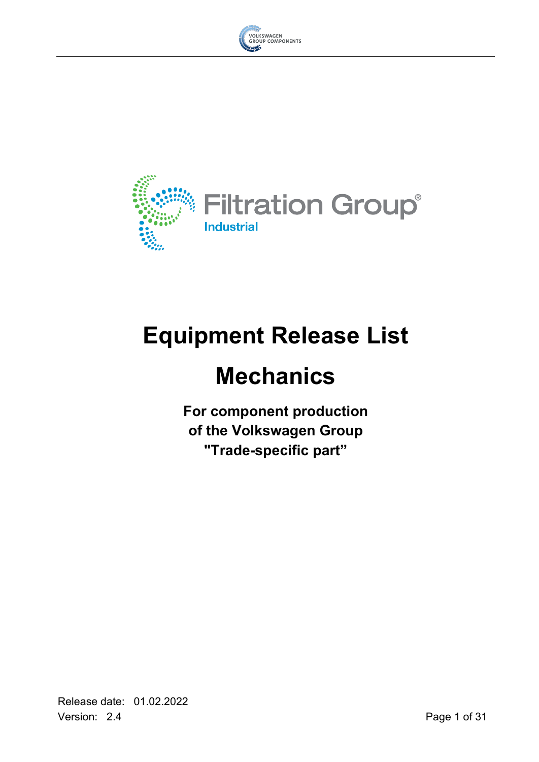



# **Equipment Release List**

# **Mechanics**

**For component production of the Volkswagen Group "Trade-specific part"**

Release date: 01.02.2022 Version: 2.4 Page 1 of 31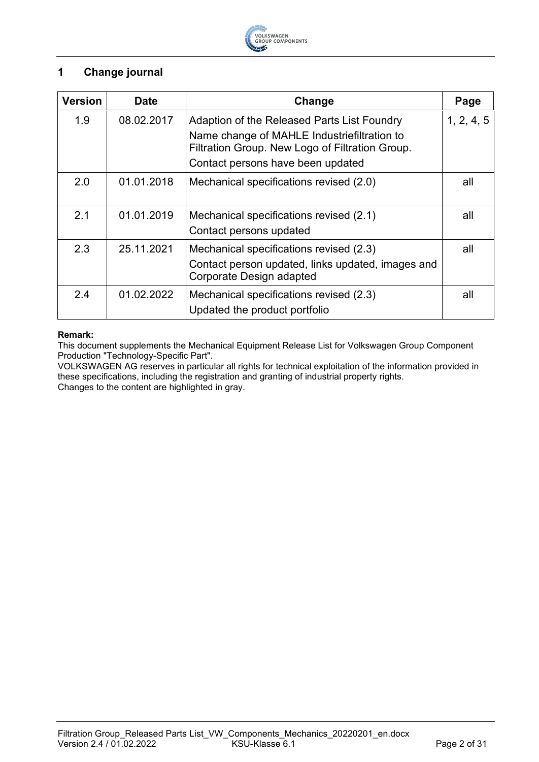

# <span id="page-1-0"></span>**1 Change journal**

| <b>Version</b> | <b>Date</b> | Change                                                                                         | Page       |
|----------------|-------------|------------------------------------------------------------------------------------------------|------------|
| 1.9            | 08.02.2017  | Adaption of the Released Parts List Foundry                                                    | 1, 2, 4, 5 |
|                |             | Name change of MAHLE Industriefiltration to<br>Filtration Group. New Logo of Filtration Group. |            |
|                |             | Contact persons have been updated                                                              |            |
| 2.0            | 01.01.2018  | Mechanical specifications revised (2.0)                                                        | all        |
| 2.1            | 01.01.2019  | Mechanical specifications revised (2.1)                                                        | all        |
|                |             | Contact persons updated                                                                        |            |
| 2.3            | 25.11.2021  | Mechanical specifications revised (2.3)                                                        | all        |
|                |             | Contact person updated, links updated, images and<br>Corporate Design adapted                  |            |
| 2.4            | 01.02.2022  | Mechanical specifications revised (2.3)                                                        | all        |
|                |             | Updated the product portfolio                                                                  |            |

#### **Remark:**

This document supplements the Mechanical Equipment Release List for Volkswagen Group Component Production "Technology-Specific Part".

VOLKSWAGEN AG reserves in particular all rights for technical exploitation of the information provided in these specifications, including the registration and granting of industrial property rights. Changes to the content are highlighted in gray.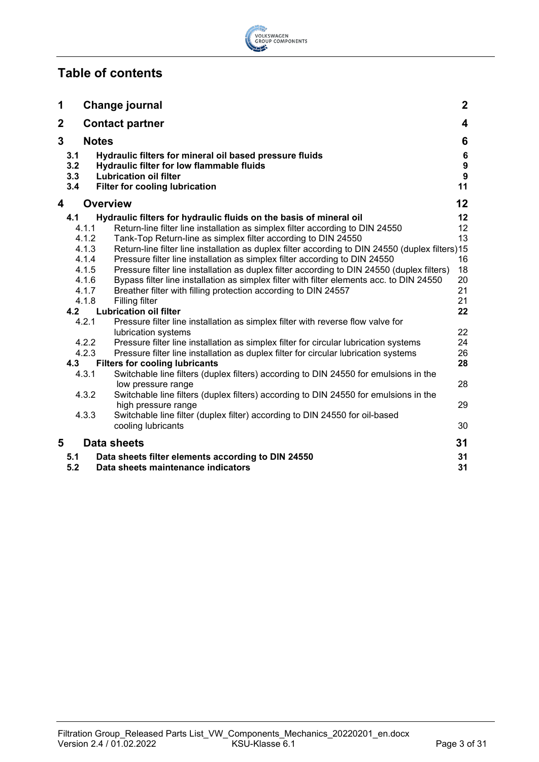# ŵ VOLKSWAGEN<br>GROUP COMPONENTS

# **Table of contents**

| 1           |                          |                                           | <b>Change journal</b>                                                                                                                                                                                                                                                                                                                                                                                                                                                                               | $\mathbf{2}$                                      |
|-------------|--------------------------|-------------------------------------------|-----------------------------------------------------------------------------------------------------------------------------------------------------------------------------------------------------------------------------------------------------------------------------------------------------------------------------------------------------------------------------------------------------------------------------------------------------------------------------------------------------|---------------------------------------------------|
| $\mathbf 2$ |                          |                                           | <b>Contact partner</b>                                                                                                                                                                                                                                                                                                                                                                                                                                                                              | $\overline{\mathbf{4}}$                           |
| 3           |                          |                                           | <b>Notes</b>                                                                                                                                                                                                                                                                                                                                                                                                                                                                                        | 6                                                 |
|             | 3.1<br>3.2<br>3.3<br>3.4 |                                           | Hydraulic filters for mineral oil based pressure fluids<br>Hydraulic filter for low flammable fluids<br><b>Lubrication oil filter</b><br><b>Filter for cooling lubrication</b>                                                                                                                                                                                                                                                                                                                      | $\bf 6$<br>$\boldsymbol{9}$<br>$\mathbf{9}$<br>11 |
| 4           |                          |                                           | <b>Overview</b>                                                                                                                                                                                                                                                                                                                                                                                                                                                                                     | 12                                                |
|             | 4.1                      | 4.1.1<br>4.1.2<br>4.1.3<br>4.1.4<br>4.1.5 | Hydraulic filters for hydraulic fluids on the basis of mineral oil<br>Return-line filter line installation as simplex filter according to DIN 24550<br>Tank-Top Return-line as simplex filter according to DIN 24550<br>Return-line filter line installation as duplex filter according to DIN 24550 (duplex filters)15<br>Pressure filter line installation as simplex filter according to DIN 24550<br>Pressure filter line installation as duplex filter according to DIN 24550 (duplex filters) | $12 \,$<br>12<br>13<br>16<br>18                   |
|             | 4.2                      | 4.1.6<br>4.1.7<br>4.1.8                   | Bypass filter line installation as simplex filter with filter elements acc. to DIN 24550<br>Breather filter with filling protection according to DIN 24557<br>Filling filter<br><b>Lubrication oil filter</b>                                                                                                                                                                                                                                                                                       | 20<br>21<br>21<br>22                              |
|             |                          | 4.2.1                                     | Pressure filter line installation as simplex filter with reverse flow valve for                                                                                                                                                                                                                                                                                                                                                                                                                     |                                                   |
|             | 4.3                      | 4.2.2<br>4.2.3                            | lubrication systems<br>Pressure filter line installation as simplex filter for circular lubrication systems<br>Pressure filter line installation as duplex filter for circular lubrication systems<br><b>Filters for cooling lubricants</b>                                                                                                                                                                                                                                                         | 22<br>24<br>26<br>28                              |
|             |                          | 4.3.1<br>4.3.2                            | Switchable line filters (duplex filters) according to DIN 24550 for emulsions in the<br>low pressure range<br>Switchable line filters (duplex filters) according to DIN 24550 for emulsions in the                                                                                                                                                                                                                                                                                                  | 28                                                |
|             |                          | 4.3.3                                     | high pressure range<br>Switchable line filter (duplex filter) according to DIN 24550 for oil-based<br>cooling lubricants                                                                                                                                                                                                                                                                                                                                                                            | 29<br>30                                          |
| 5           |                          |                                           | <b>Data sheets</b>                                                                                                                                                                                                                                                                                                                                                                                                                                                                                  | 31                                                |
|             | 5.1<br>5.2               |                                           | Data sheets filter elements according to DIN 24550<br>Data sheets maintenance indicators                                                                                                                                                                                                                                                                                                                                                                                                            | 31<br>31                                          |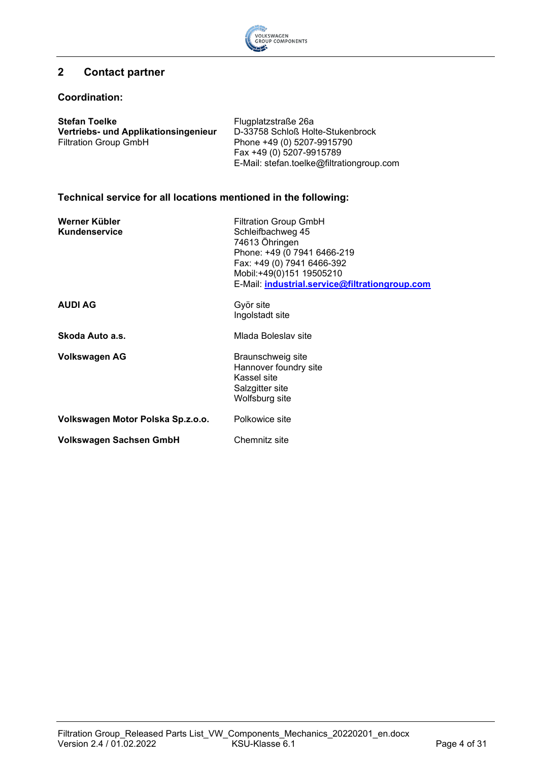

# <span id="page-3-0"></span>**2 Contact partner**

#### **Coordination:**

| <b>Stefan Toelke</b>                 | Flugplatzstraße 26a                       |
|--------------------------------------|-------------------------------------------|
| Vertriebs- und Applikationsingenieur | D-33758 Schloß Holte-Stukenbrock          |
| <b>Filtration Group GmbH</b>         | Phone +49 (0) 5207-9915790                |
|                                      | Fax +49 (0) 5207-9915789                  |
|                                      | E-Mail: stefan.toelke@filtrationgroup.com |

# **Technical service for all locations mentioned in the following:**

| Werner Kübler<br>Kundenservice    | <b>Filtration Group GmbH</b><br>Schleifbachweg 45<br>74613 Öhringen<br>Phone: +49 (0 7941 6466-219<br>Fax: +49 (0) 7941 6466-392<br>Mobil:+49(0)151 19505210<br>E-Mail: industrial.service@filtrationgroup.com |
|-----------------------------------|----------------------------------------------------------------------------------------------------------------------------------------------------------------------------------------------------------------|
| <b>AUDI AG</b>                    | Györ site<br>Ingolstadt site                                                                                                                                                                                   |
| Skoda Auto a.s.                   | Mlada Boleslav site                                                                                                                                                                                            |
| <b>Volkswagen AG</b>              | Braunschweig site<br>Hannover foundry site<br>Kassel site<br>Salzgitter site<br>Wolfsburg site                                                                                                                 |
| Volkswagen Motor Polska Sp.z.o.o. | Polkowice site                                                                                                                                                                                                 |
| <b>Volkswagen Sachsen GmbH</b>    | Chemnitz site                                                                                                                                                                                                  |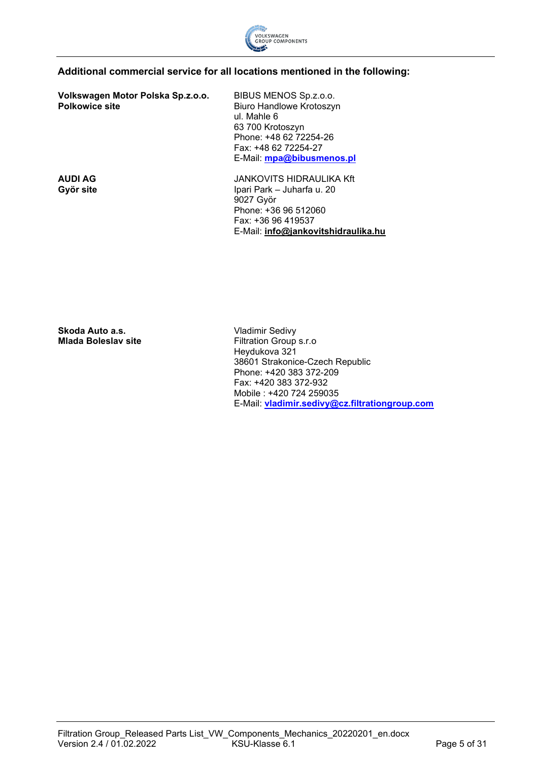

## **Additional commercial service for all locations mentioned in the following:**

**Volkswagen Motor Polska Sp.z.o.o. Polkowice site**

BIBUS MENOS Sp.z.o.o. Biuro Handlowe Krotoszyn ul. Mahle 6 63 700 Krotoszyn Phone: +48 62 72254-26 Fax: +48 62 72254-27 E-Mail: **[mpa@bibusmenos.pl](mailto:mpa@bibusmenos.pl)**

**AUDI AG Györ site**

JANKOVITS HIDRAULIKA Kft Ipari Park – Juharfa u. 20 9027 Györ Phone: +36 96 512060 Fax: +36 96 419537 E-Mail: **[info@jankovitshidraulika.hu](mailto:info@jankovitshidraulika.hu)**

**Skoda Auto a.s. Mlada Boleslav site**

Vladimir Sedivy Filtration Group s.r.o Heydukova 321 38601 Strakonice-Czech Republic Phone: +420 383 372-209 Fax: +420 383 372-932 Mobile : +420 724 259035 E-Mail: **[vladimir.sedivy@cz.filtrationgroup.com](mailto:vladimir.sedivy@cz.filtrationgroup.com)**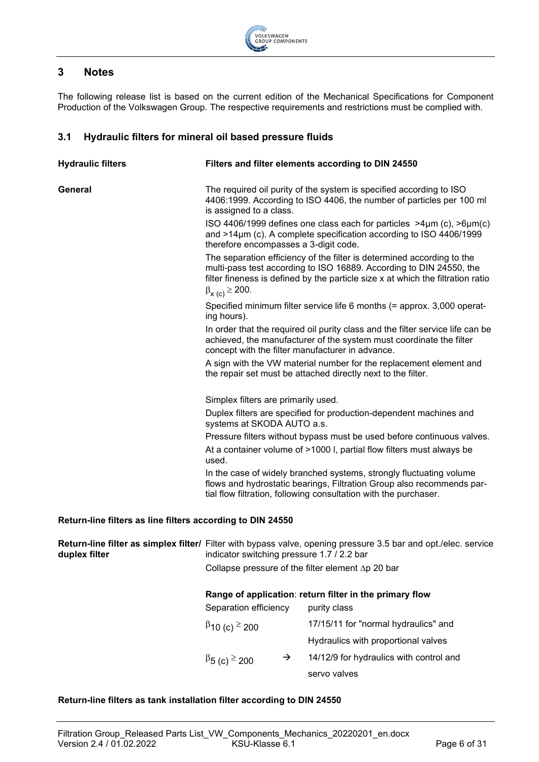

# <span id="page-5-0"></span>**3 Notes**

The following release list is based on the current edition of the Mechanical Specifications for Component Production of the Volkswagen Group. The respective requirements and restrictions must be complied with.

#### <span id="page-5-1"></span>**3.1 Hydraulic filters for mineral oil based pressure fluids**

| <b>Hydraulic filters</b>                                   | Filters and filter elements according to DIN 24550                                                                                                                                                                                                          |  |  |  |
|------------------------------------------------------------|-------------------------------------------------------------------------------------------------------------------------------------------------------------------------------------------------------------------------------------------------------------|--|--|--|
| General                                                    | The required oil purity of the system is specified according to ISO<br>4406:1999. According to ISO 4406, the number of particles per 100 ml<br>is assigned to a class.                                                                                      |  |  |  |
|                                                            | ISO 4406/1999 defines one class each for particles $>4\mu$ m (c), $>6\mu$ m(c)<br>and $>14\mu$ m (c). A complete specification according to ISO 4406/1999<br>therefore encompasses a 3-digit code.                                                          |  |  |  |
|                                                            | The separation efficiency of the filter is determined according to the<br>multi-pass test according to ISO 16889. According to DIN 24550, the<br>filter fineness is defined by the particle size x at which the filtration ratio<br>$\beta_{X(c)} \ge 200.$ |  |  |  |
|                                                            | Specified minimum filter service life 6 months (= approx. 3,000 operat-<br>ing hours).                                                                                                                                                                      |  |  |  |
|                                                            | In order that the required oil purity class and the filter service life can be<br>achieved, the manufacturer of the system must coordinate the filter<br>concept with the filter manufacturer in advance.                                                   |  |  |  |
|                                                            | A sign with the VW material number for the replacement element and<br>the repair set must be attached directly next to the filter.                                                                                                                          |  |  |  |
|                                                            | Simplex filters are primarily used.                                                                                                                                                                                                                         |  |  |  |
|                                                            | Duplex filters are specified for production-dependent machines and<br>systems at SKODA AUTO a.s.                                                                                                                                                            |  |  |  |
|                                                            | Pressure filters without bypass must be used before continuous valves.                                                                                                                                                                                      |  |  |  |
|                                                            | At a container volume of >1000 I, partial flow filters must always be<br>used.                                                                                                                                                                              |  |  |  |
|                                                            | In the case of widely branched systems, strongly fluctuating volume<br>flows and hydrostatic bearings, Filtration Group also recommends par-<br>tial flow filtration, following consultation with the purchaser.                                            |  |  |  |
| Return-line filters as line filters according to DIN 24550 |                                                                                                                                                                                                                                                             |  |  |  |
| duplex filter                                              | Return-line filter as simplex filter/ Filter with bypass valve, opening pressure 3.5 bar and opt./elec. service<br>indicator switching pressure 1.7 / 2.2 bar                                                                                               |  |  |  |

Collapse pressure of the filter element ∆p 20 bar

#### **Range of application**: **return filter in the primary flow**

| Separation efficiency               |               | purity class                            |  |  |
|-------------------------------------|---------------|-----------------------------------------|--|--|
| $\beta$ 10 (c) $\geq$ 200           |               | 17/15/11 for "normal hydraulics" and    |  |  |
|                                     |               | Hydraulics with proportional valves     |  |  |
| $\beta$ <sub>5</sub> (c) $\geq$ 200 | $\rightarrow$ | 14/12/9 for hydraulics with control and |  |  |
|                                     |               | servo valves                            |  |  |

#### **Return-line filters as tank installation filter according to DIN 24550**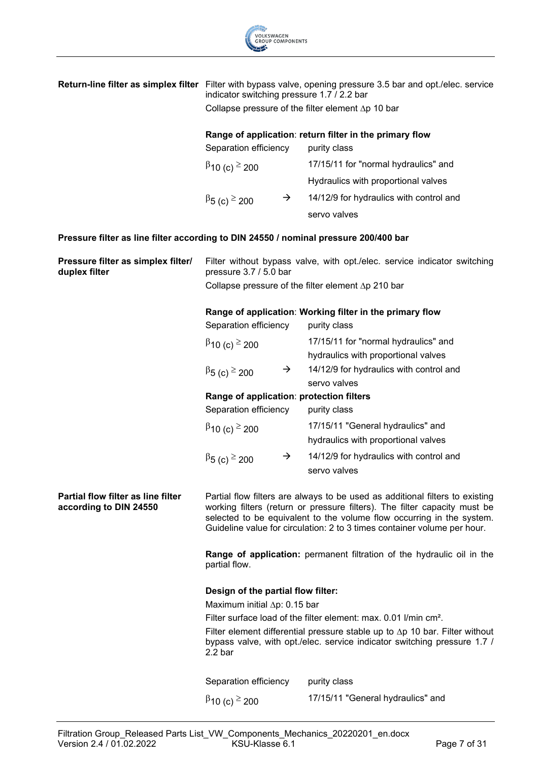

|                                                                                      | <b>Return-line filter as simplex filter</b> Filter with bypass valve, opening pressure 3.5 bar and opt./elec. service<br>indicator switching pressure 1.7 / 2.2 bar                                                                                                                                            |                                                                                                                                                                 |  |  |  |
|--------------------------------------------------------------------------------------|----------------------------------------------------------------------------------------------------------------------------------------------------------------------------------------------------------------------------------------------------------------------------------------------------------------|-----------------------------------------------------------------------------------------------------------------------------------------------------------------|--|--|--|
|                                                                                      | Collapse pressure of the filter element $\Delta p$ 10 bar                                                                                                                                                                                                                                                      |                                                                                                                                                                 |  |  |  |
|                                                                                      | Range of application: return filter in the primary flow                                                                                                                                                                                                                                                        |                                                                                                                                                                 |  |  |  |
|                                                                                      | Separation efficiency                                                                                                                                                                                                                                                                                          | purity class                                                                                                                                                    |  |  |  |
|                                                                                      | $\beta$ 10 (c) $\geq$ 200                                                                                                                                                                                                                                                                                      | 17/15/11 for "normal hydraulics" and                                                                                                                            |  |  |  |
|                                                                                      |                                                                                                                                                                                                                                                                                                                | Hydraulics with proportional valves                                                                                                                             |  |  |  |
|                                                                                      | $\rightarrow$<br>$\beta$ <sub>5</sub> (c) $\geq$ 200                                                                                                                                                                                                                                                           | 14/12/9 for hydraulics with control and                                                                                                                         |  |  |  |
|                                                                                      |                                                                                                                                                                                                                                                                                                                | servo valves                                                                                                                                                    |  |  |  |
| Pressure filter as line filter according to DIN 24550 / nominal pressure 200/400 bar |                                                                                                                                                                                                                                                                                                                |                                                                                                                                                                 |  |  |  |
| Pressure filter as simplex filter/<br>duplex filter                                  | Filter without bypass valve, with opt./elec. service indicator switching<br>pressure 3.7 / 5.0 bar                                                                                                                                                                                                             |                                                                                                                                                                 |  |  |  |
|                                                                                      |                                                                                                                                                                                                                                                                                                                | Collapse pressure of the filter element $\Delta p$ 210 bar                                                                                                      |  |  |  |
|                                                                                      |                                                                                                                                                                                                                                                                                                                | Range of application: Working filter in the primary flow                                                                                                        |  |  |  |
|                                                                                      | Separation efficiency                                                                                                                                                                                                                                                                                          | purity class                                                                                                                                                    |  |  |  |
|                                                                                      | $\beta$ 10 (c) $\geq$ 200                                                                                                                                                                                                                                                                                      | 17/15/11 for "normal hydraulics" and                                                                                                                            |  |  |  |
|                                                                                      |                                                                                                                                                                                                                                                                                                                | hydraulics with proportional valves                                                                                                                             |  |  |  |
|                                                                                      | $\rightarrow$<br>$\beta$ <sub>5</sub> (c) $\geq$ 200                                                                                                                                                                                                                                                           | 14/12/9 for hydraulics with control and                                                                                                                         |  |  |  |
|                                                                                      |                                                                                                                                                                                                                                                                                                                | servo valves                                                                                                                                                    |  |  |  |
|                                                                                      | Range of application: protection filters                                                                                                                                                                                                                                                                       |                                                                                                                                                                 |  |  |  |
|                                                                                      | Separation efficiency                                                                                                                                                                                                                                                                                          | purity class                                                                                                                                                    |  |  |  |
|                                                                                      | $\beta$ 10 (c) $\geq$ 200                                                                                                                                                                                                                                                                                      | 17/15/11 "General hydraulics" and                                                                                                                               |  |  |  |
|                                                                                      |                                                                                                                                                                                                                                                                                                                | hydraulics with proportional valves                                                                                                                             |  |  |  |
|                                                                                      | $\rightarrow$<br>$\beta$ <sub>5</sub> (c) $\geq$ 200                                                                                                                                                                                                                                                           | 14/12/9 for hydraulics with control and                                                                                                                         |  |  |  |
|                                                                                      |                                                                                                                                                                                                                                                                                                                | servo valves                                                                                                                                                    |  |  |  |
| Partial flow filter as line filter<br>according to DIN 24550                         | Partial flow filters are always to be used as additional filters to existing<br>working filters (return or pressure filters). The filter capacity must be<br>selected to be equivalent to the volume flow occurring in the system.<br>Guideline value for circulation: 2 to 3 times container volume per hour. |                                                                                                                                                                 |  |  |  |
|                                                                                      | Range of application: permanent filtration of the hydraulic oil in the<br>partial flow.                                                                                                                                                                                                                        |                                                                                                                                                                 |  |  |  |
|                                                                                      | Design of the partial flow filter:                                                                                                                                                                                                                                                                             |                                                                                                                                                                 |  |  |  |
|                                                                                      | Maximum initial ∆p: 0.15 bar                                                                                                                                                                                                                                                                                   |                                                                                                                                                                 |  |  |  |
|                                                                                      |                                                                                                                                                                                                                                                                                                                | Filter surface load of the filter element: max. 0.01 I/min cm <sup>2</sup> .                                                                                    |  |  |  |
|                                                                                      | 2.2 <sub>bar</sub>                                                                                                                                                                                                                                                                                             | Filter element differential pressure stable up to $\Delta p$ 10 bar. Filter without<br>bypass valve, with opt./elec. service indicator switching pressure 1.7 / |  |  |  |
|                                                                                      | Separation efficiency                                                                                                                                                                                                                                                                                          | purity class                                                                                                                                                    |  |  |  |
|                                                                                      | $\beta$ 10 (c) $\geq$ 200                                                                                                                                                                                                                                                                                      | 17/15/11 "General hydraulics" and                                                                                                                               |  |  |  |
|                                                                                      |                                                                                                                                                                                                                                                                                                                |                                                                                                                                                                 |  |  |  |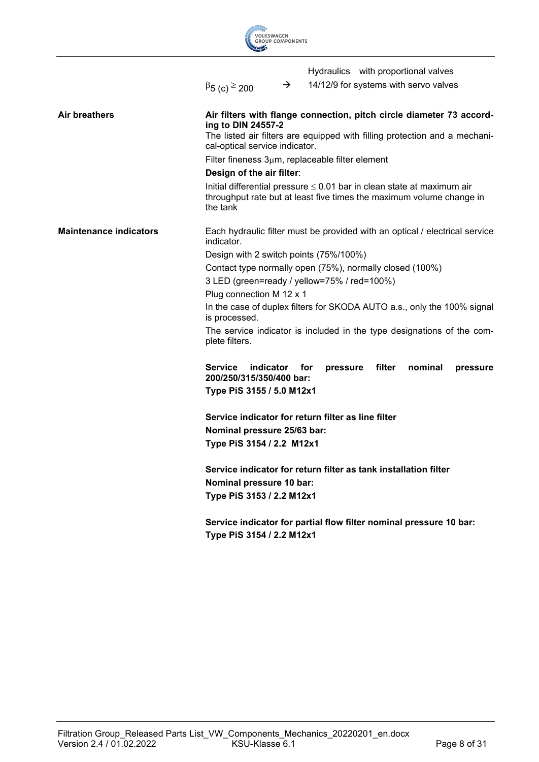|                               | <b>VOLKSWAGEN</b><br><b>GROUP COMPONENTS</b>                                                                                                                                                               |  |  |  |  |
|-------------------------------|------------------------------------------------------------------------------------------------------------------------------------------------------------------------------------------------------------|--|--|--|--|
|                               | Hydraulics with proportional valves                                                                                                                                                                        |  |  |  |  |
|                               | 14/12/9 for systems with servo valves<br>$\rightarrow$<br>$\beta$ 5 (c) $\geq$ 200                                                                                                                         |  |  |  |  |
| Air breathers                 | Air filters with flange connection, pitch circle diameter 73 accord-<br>ing to DIN 24557-2<br>The listed air filters are equipped with filling protection and a mechani-<br>cal-optical service indicator. |  |  |  |  |
|                               | Filter fineness $3\mu$ m, replaceable filter element                                                                                                                                                       |  |  |  |  |
|                               | Design of the air filter:                                                                                                                                                                                  |  |  |  |  |
|                               | Initial differential pressure $\leq$ 0.01 bar in clean state at maximum air<br>throughput rate but at least five times the maximum volume change in<br>the tank                                            |  |  |  |  |
| <b>Maintenance indicators</b> | Each hydraulic filter must be provided with an optical / electrical service<br>indicator.                                                                                                                  |  |  |  |  |
|                               | Design with 2 switch points (75%/100%)                                                                                                                                                                     |  |  |  |  |
|                               | Contact type normally open (75%), normally closed (100%)                                                                                                                                                   |  |  |  |  |
|                               | 3 LED (green=ready / yellow=75% / red=100%)                                                                                                                                                                |  |  |  |  |
|                               | Plug connection M 12 x 1                                                                                                                                                                                   |  |  |  |  |
|                               | In the case of duplex filters for SKODA AUTO a.s., only the 100% signal<br>is processed.                                                                                                                   |  |  |  |  |
|                               | The service indicator is included in the type designations of the com-<br>plete filters.                                                                                                                   |  |  |  |  |
|                               | <b>Service</b><br>indicator<br>filter<br>nominal<br>for<br>pressure<br>pressure<br>200/250/315/350/400 bar:                                                                                                |  |  |  |  |
|                               | Type PiS 3155 / 5.0 M12x1                                                                                                                                                                                  |  |  |  |  |
|                               | Service indicator for return filter as line filter                                                                                                                                                         |  |  |  |  |
|                               | Nominal pressure 25/63 bar:                                                                                                                                                                                |  |  |  |  |
|                               | Type PiS 3154 / 2.2 M12x1                                                                                                                                                                                  |  |  |  |  |
|                               | Service indicator for return filter as tank installation filter                                                                                                                                            |  |  |  |  |
|                               | Nominal pressure 10 bar:                                                                                                                                                                                   |  |  |  |  |
|                               | Type PiS 3153 / 2.2 M12x1                                                                                                                                                                                  |  |  |  |  |
|                               | Service indicator for partial flow filter nominal pressure 10 bar:<br>Type PiS 3154 / 2.2 M12x1                                                                                                            |  |  |  |  |

**Contract Contract Contract Contract Contract Contract Contract Contract Contract Contract Contract Contract Contract Contract Contract Contract Contract Contract Contract Contract Contract Contract Contract Contract Contr**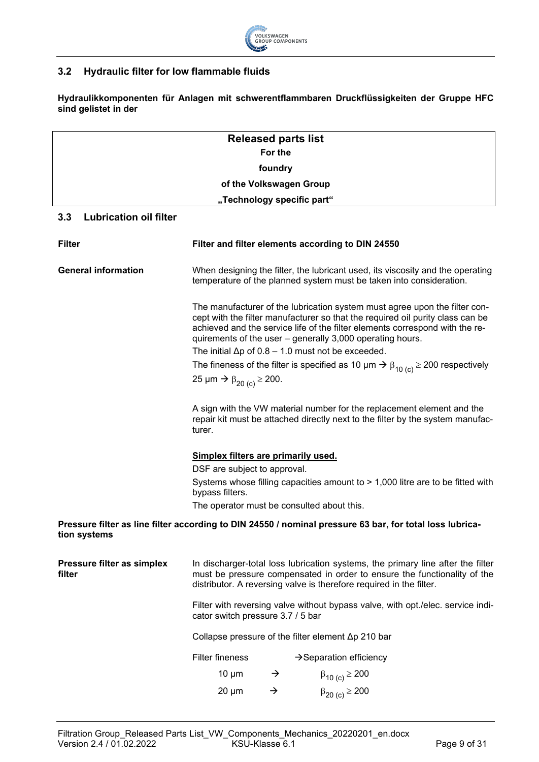

## <span id="page-8-0"></span>**3.2 Hydraulic filter for low flammable fluids**

**Hydraulikkomponenten für Anlagen mit schwerentflammbaren Druckflüssigkeiten der Gruppe HFC sind gelistet in der**

| <b>Released parts list</b> |  |
|----------------------------|--|
| For the                    |  |
| foundry                    |  |
| of the Volkswagen Group    |  |
| "Technology specific part" |  |

#### <span id="page-8-1"></span>**3.3 Lubrication oil filter**

| <b>Filter</b>                        | Filter and filter elements according to DIN 24550                                                                                                                                                                                                                                                         |               |                                                                                                                                                          |  |  |
|--------------------------------------|-----------------------------------------------------------------------------------------------------------------------------------------------------------------------------------------------------------------------------------------------------------------------------------------------------------|---------------|----------------------------------------------------------------------------------------------------------------------------------------------------------|--|--|
| <b>General information</b>           | When designing the filter, the lubricant used, its viscosity and the operating<br>temperature of the planned system must be taken into consideration.                                                                                                                                                     |               |                                                                                                                                                          |  |  |
|                                      | The manufacturer of the lubrication system must agree upon the filter con-<br>cept with the filter manufacturer so that the required oil purity class can be<br>achieved and the service life of the filter elements correspond with the re-<br>quirements of the user - generally 3,000 operating hours. |               |                                                                                                                                                          |  |  |
|                                      |                                                                                                                                                                                                                                                                                                           |               | The initial $\Delta p$ of 0.8 – 1.0 must not be exceeded.                                                                                                |  |  |
|                                      |                                                                                                                                                                                                                                                                                                           |               | The fineness of the filter is specified as 10 $\mu$ m $\rightarrow$ $\beta_{10}$ (c) $\geq$ 200 respectively                                             |  |  |
|                                      | 25 µm → $\beta_{20}$ (c) ≥ 200.                                                                                                                                                                                                                                                                           |               |                                                                                                                                                          |  |  |
|                                      | turer.                                                                                                                                                                                                                                                                                                    |               | A sign with the VW material number for the replacement element and the<br>repair kit must be attached directly next to the filter by the system manufac- |  |  |
|                                      | Simplex filters are primarily used.                                                                                                                                                                                                                                                                       |               |                                                                                                                                                          |  |  |
|                                      | DSF are subject to approval.                                                                                                                                                                                                                                                                              |               |                                                                                                                                                          |  |  |
|                                      | Systems whose filling capacities amount to > 1,000 litre are to be fitted with<br>bypass filters.                                                                                                                                                                                                         |               |                                                                                                                                                          |  |  |
|                                      | The operator must be consulted about this.                                                                                                                                                                                                                                                                |               |                                                                                                                                                          |  |  |
| tion systems                         |                                                                                                                                                                                                                                                                                                           |               | Pressure filter as line filter according to DIN 24550 / nominal pressure 63 bar, for total loss lubrica-                                                 |  |  |
| Pressure filter as simplex<br>filter | In discharger-total loss lubrication systems, the primary line after the filter<br>must be pressure compensated in order to ensure the functionality of the<br>distributor. A reversing valve is therefore required in the filter.                                                                        |               |                                                                                                                                                          |  |  |
|                                      | Filter with reversing valve without bypass valve, with opt./elec. service indi-<br>cator switch pressure 3.7 / 5 bar<br>Collapse pressure of the filter element $\Delta p$ 210 bar                                                                                                                        |               |                                                                                                                                                          |  |  |
|                                      |                                                                                                                                                                                                                                                                                                           |               |                                                                                                                                                          |  |  |
|                                      | Filter fineness                                                                                                                                                                                                                                                                                           |               | $\rightarrow$ Separation efficiency                                                                                                                      |  |  |
|                                      | $10 \mu m$                                                                                                                                                                                                                                                                                                | $\rightarrow$ | $\beta_{10}$ (c) $\geq$ 200                                                                                                                              |  |  |
|                                      | $20 \mu m$                                                                                                                                                                                                                                                                                                | $\rightarrow$ | $\beta_{20 (c)} \ge 200$                                                                                                                                 |  |  |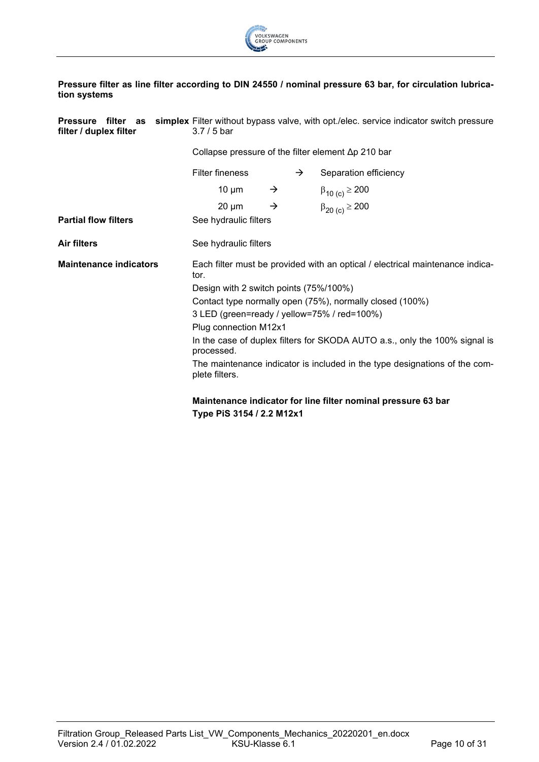

#### **Pressure filter as line filter according to DIN 24550 / nominal pressure 63 bar, for circulation lubrication systems**

| filter / duplex filter        | <b>Pressure filter as simplex</b> Filter without bypass valve, with opt./elec. service indicator switch pressure<br>$3.7/5$ bar |                                                            |  |                             |  |  |
|-------------------------------|---------------------------------------------------------------------------------------------------------------------------------|------------------------------------------------------------|--|-----------------------------|--|--|
|                               |                                                                                                                                 | Collapse pressure of the filter element $\Delta p$ 210 bar |  |                             |  |  |
|                               | <b>Filter fineness</b>                                                                                                          |                                                            |  | Separation efficiency       |  |  |
|                               | $10 \mu m$                                                                                                                      | $\rightarrow$                                              |  | $\beta_{10}$ (c) $\geq 200$ |  |  |
|                               | $20 \mu m$                                                                                                                      | $\rightarrow$                                              |  | $\beta_{20 (c)} \ge 200$    |  |  |
| <b>Partial flow filters</b>   | See hydraulic filters                                                                                                           |                                                            |  |                             |  |  |
| <b>Air filters</b>            | See hydraulic filters                                                                                                           |                                                            |  |                             |  |  |
| <b>Maintenance indicators</b> | Each filter must be provided with an optical / electrical maintenance indica-<br>tor.                                           |                                                            |  |                             |  |  |
|                               | Design with 2 switch points (75%/100%)                                                                                          |                                                            |  |                             |  |  |
|                               | Contact type normally open (75%), normally closed (100%)                                                                        |                                                            |  |                             |  |  |
|                               | 3 LED (green=ready / yellow=75% / red=100%)                                                                                     |                                                            |  |                             |  |  |
|                               | Plug connection M12x1                                                                                                           |                                                            |  |                             |  |  |
|                               | In the case of duplex filters for SKODA AUTO a.s., only the 100% signal is<br>processed.                                        |                                                            |  |                             |  |  |
|                               | The maintenance indicator is included in the type designations of the com-<br>plete filters.                                    |                                                            |  |                             |  |  |
|                               | Maintenance indicator for line filter nominal pressure 63 bar<br>Type PiS 3154 / 2.2 M12x1                                      |                                                            |  |                             |  |  |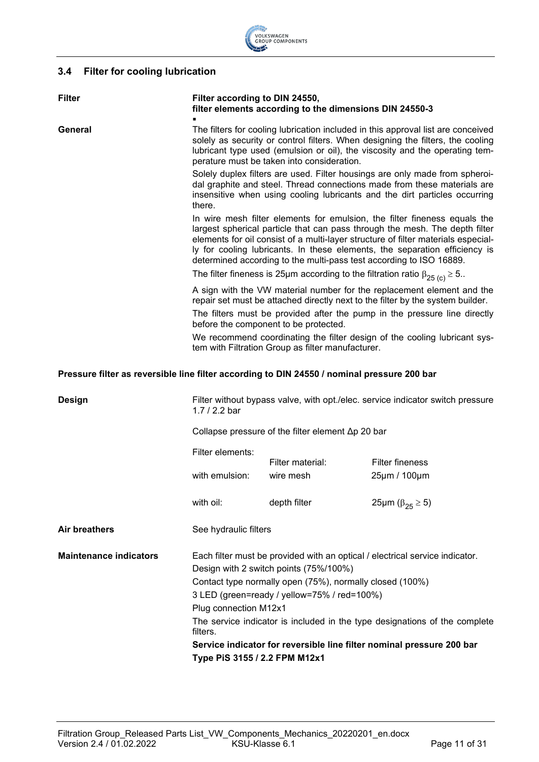

# <span id="page-10-0"></span>**3.4 Filter for cooling lubrication**

| <b>Filter</b>                                                                               | Filter according to DIN 24550,<br>filter elements according to the dimensions DIN 24550-3                                                                                                                                                                                                       |                                                                                                                                                                                                                                                                                                                                                                                                    |                                                                                                                                                          |  |  |
|---------------------------------------------------------------------------------------------|-------------------------------------------------------------------------------------------------------------------------------------------------------------------------------------------------------------------------------------------------------------------------------------------------|----------------------------------------------------------------------------------------------------------------------------------------------------------------------------------------------------------------------------------------------------------------------------------------------------------------------------------------------------------------------------------------------------|----------------------------------------------------------------------------------------------------------------------------------------------------------|--|--|
| General                                                                                     | The filters for cooling lubrication included in this approval list are conceived<br>solely as security or control filters. When designing the filters, the cooling<br>lubricant type used (emulsion or oil), the viscosity and the operating tem-<br>perature must be taken into consideration. |                                                                                                                                                                                                                                                                                                                                                                                                    |                                                                                                                                                          |  |  |
|                                                                                             | Solely duplex filters are used. Filter housings are only made from spheroi-<br>dal graphite and steel. Thread connections made from these materials are<br>insensitive when using cooling lubricants and the dirt particles occurring<br>there.                                                 |                                                                                                                                                                                                                                                                                                                                                                                                    |                                                                                                                                                          |  |  |
|                                                                                             |                                                                                                                                                                                                                                                                                                 | In wire mesh filter elements for emulsion, the filter fineness equals the<br>largest spherical particle that can pass through the mesh. The depth filter<br>elements for oil consist of a multi-layer structure of filter materials especial-<br>ly for cooling lubricants. In these elements, the separation efficiency is<br>determined according to the multi-pass test according to ISO 16889. |                                                                                                                                                          |  |  |
|                                                                                             |                                                                                                                                                                                                                                                                                                 |                                                                                                                                                                                                                                                                                                                                                                                                    | The filter fineness is 25µm according to the filtration ratio $\beta_{25}$ (c) $\geq$ 5                                                                  |  |  |
|                                                                                             |                                                                                                                                                                                                                                                                                                 |                                                                                                                                                                                                                                                                                                                                                                                                    | A sign with the VW material number for the replacement element and the<br>repair set must be attached directly next to the filter by the system builder. |  |  |
|                                                                                             |                                                                                                                                                                                                                                                                                                 | before the component to be protected.                                                                                                                                                                                                                                                                                                                                                              | The filters must be provided after the pump in the pressure line directly                                                                                |  |  |
|                                                                                             |                                                                                                                                                                                                                                                                                                 | We recommend coordinating the filter design of the cooling lubricant sys-<br>tem with Filtration Group as filter manufacturer.                                                                                                                                                                                                                                                                     |                                                                                                                                                          |  |  |
| Pressure filter as reversible line filter according to DIN 24550 / nominal pressure 200 bar |                                                                                                                                                                                                                                                                                                 |                                                                                                                                                                                                                                                                                                                                                                                                    |                                                                                                                                                          |  |  |
| <b>Design</b>                                                                               | Filter without bypass valve, with opt./elec. service indicator switch pressure<br>1.7 / 2.2 bar                                                                                                                                                                                                 |                                                                                                                                                                                                                                                                                                                                                                                                    |                                                                                                                                                          |  |  |
|                                                                                             |                                                                                                                                                                                                                                                                                                 | Collapse pressure of the filter element $\Delta p$ 20 bar                                                                                                                                                                                                                                                                                                                                          |                                                                                                                                                          |  |  |
|                                                                                             | Filter elements:                                                                                                                                                                                                                                                                                | Filter material:                                                                                                                                                                                                                                                                                                                                                                                   | <b>Filter fineness</b>                                                                                                                                   |  |  |
|                                                                                             | with emulsion:                                                                                                                                                                                                                                                                                  | wire mesh                                                                                                                                                                                                                                                                                                                                                                                          | 25µm / 100µm                                                                                                                                             |  |  |
|                                                                                             | with oil:                                                                                                                                                                                                                                                                                       | depth filter                                                                                                                                                                                                                                                                                                                                                                                       | 25μm (β <sub>25</sub> $\ge$ 5)                                                                                                                           |  |  |
| <b>Air breathers</b>                                                                        | See hydraulic filters                                                                                                                                                                                                                                                                           |                                                                                                                                                                                                                                                                                                                                                                                                    |                                                                                                                                                          |  |  |
| <b>Maintenance indicators</b>                                                               | Each filter must be provided with an optical / electrical service indicator.<br>Design with 2 switch points (75%/100%)                                                                                                                                                                          |                                                                                                                                                                                                                                                                                                                                                                                                    |                                                                                                                                                          |  |  |
|                                                                                             | Contact type normally open (75%), normally closed (100%)                                                                                                                                                                                                                                        |                                                                                                                                                                                                                                                                                                                                                                                                    |                                                                                                                                                          |  |  |
|                                                                                             | 3 LED (green=ready / yellow=75% / red=100%)                                                                                                                                                                                                                                                     |                                                                                                                                                                                                                                                                                                                                                                                                    |                                                                                                                                                          |  |  |
|                                                                                             | Plug connection M12x1                                                                                                                                                                                                                                                                           |                                                                                                                                                                                                                                                                                                                                                                                                    |                                                                                                                                                          |  |  |
|                                                                                             | The service indicator is included in the type designations of the complete<br>filters.                                                                                                                                                                                                          |                                                                                                                                                                                                                                                                                                                                                                                                    |                                                                                                                                                          |  |  |
|                                                                                             | Service indicator for reversible line filter nominal pressure 200 bar                                                                                                                                                                                                                           |                                                                                                                                                                                                                                                                                                                                                                                                    |                                                                                                                                                          |  |  |
| Type PiS 3155 / 2.2 FPM M12x1                                                               |                                                                                                                                                                                                                                                                                                 |                                                                                                                                                                                                                                                                                                                                                                                                    |                                                                                                                                                          |  |  |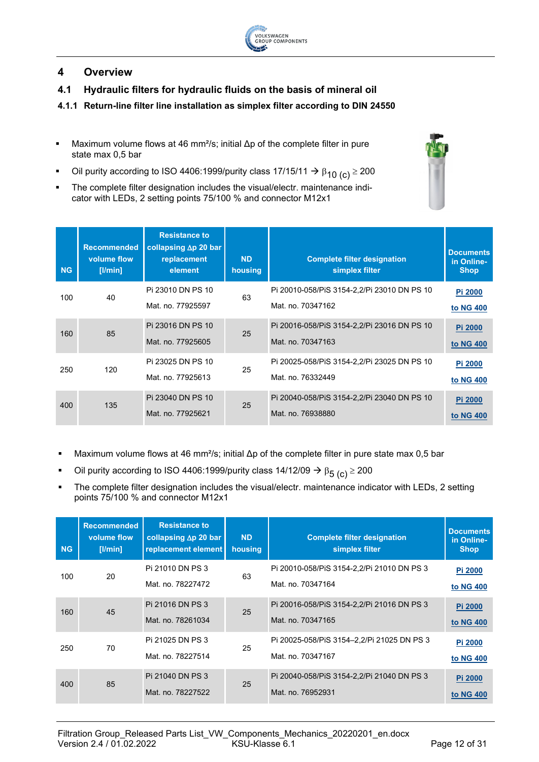

# <span id="page-11-0"></span>**4 Overview**

- <span id="page-11-1"></span>**4.1 Hydraulic filters for hydraulic fluids on the basis of mineral oil**
- <span id="page-11-2"></span>**4.1.1 Return-line filter line installation as simplex filter according to DIN 24550**
- Maximum volume flows at 46 mm<sup>2</sup>/s; initial  $\Delta p$  of the complete filter in pure state max 0,5 bar
- Oil purity according to ISO 4406:1999/purity class 17/15/11  $\rightarrow \beta_{10}$  (c)  $\geq 200$
- The complete filter designation includes the visual/electr. maintenance indicator with LEDs, 2 setting points 75/100 % and connector M12x1

| <b>NG</b> | <b>Recommended</b><br>volume flow<br>[1/min] | <b>Resistance to</b><br>collapsing $\Delta p$ 20 bar<br>replacement<br>element | <b>ND</b><br>housing | <b>Complete filter designation</b><br>simplex filter              | <b>Documents</b><br>in Online-<br><b>Shop</b> |
|-----------|----------------------------------------------|--------------------------------------------------------------------------------|----------------------|-------------------------------------------------------------------|-----------------------------------------------|
| 100       | 40                                           | Pi 23010 DN PS 10<br>Mat. no. 77925597                                         | 63                   | Pi 20010-058/PiS 3154-2, 2/Pi 23010 DN PS 10<br>Mat. no. 70347162 | Pi 2000<br>to NG 400                          |
| 160       | 85                                           | Pi 23016 DN PS 10<br>Mat. no. 77925605                                         | 25                   | Pi 20016-058/PiS 3154-2, 2/Pi 23016 DN PS 10<br>Mat. no. 70347163 | Pi 2000<br>to NG 400                          |
| 250       | 120                                          | Pi 23025 DN PS 10<br>Mat. no. 77925613                                         | 25                   | Pi 20025-058/PiS 3154-2, 2/Pi 23025 DN PS 10<br>Mat. no. 76332449 | Pi 2000<br>to NG 400                          |
| 400       | 135                                          | Pi 23040 DN PS 10<br>Mat. no. 77925621                                         | 25                   | Pi 20040-058/PiS 3154-2,2/Pi 23040 DN PS 10<br>Mat. no. 76938880  | Pi 2000<br>to NG 400                          |

- Maximum volume flows at 46 mm²/s; initial  $\Delta p$  of the complete filter in pure state max 0,5 bar
- Oil purity according to ISO 4406:1999/purity class 14/12/09  $\rightarrow \beta_{5\ (c)} \ge 200$
- The complete filter designation includes the visual/electr. maintenance indicator with LEDs, 2 setting points 75/100 % and connector M12x1

| <b>NG</b> | <b>Recommended</b><br>volume flow<br>$[$ l/min $]$ | <b>Resistance to</b><br>collapsing $\Delta p$ 20 bar<br>replacement element | <b>ND</b><br>housing | <b>Complete filter designation</b><br>simplex filter             | <b>Documents</b><br>in Online-<br><b>Shop</b> |
|-----------|----------------------------------------------------|-----------------------------------------------------------------------------|----------------------|------------------------------------------------------------------|-----------------------------------------------|
| 100       | 20                                                 | Pi 21010 DN PS 3<br>Mat. no. 78227472                                       | 63                   | Pi 20010-058/PiS 3154-2, 2/Pi 21010 DN PS 3<br>Mat. no. 70347164 | <b>Pi 2000</b><br>to NG 400                   |
| 160       | 45                                                 | Pi 21016 DN PS 3<br>Mat. no. 78261034                                       | 25                   | Pi 20016-058/PiS 3154-2, 2/Pi 21016 DN PS 3<br>Mat. no. 70347165 | Pi 2000<br>to NG 400                          |
| 250       | 70                                                 | Pi 21025 DN PS 3<br>Mat. no. 78227514                                       | 25                   | Pi 20025-058/PiS 3154-2,2/Pi 21025 DN PS 3<br>Mat. no. 70347167  | <b>Pi 2000</b><br>to NG 400                   |
| 400       | 85                                                 | Pi 21040 DN PS 3<br>Mat. no. 78227522                                       | 25                   | Pi 20040-058/PiS 3154-2, 2/Pi 21040 DN PS 3<br>Mat. no. 76952931 | <b>Pi 2000</b><br>to NG 400                   |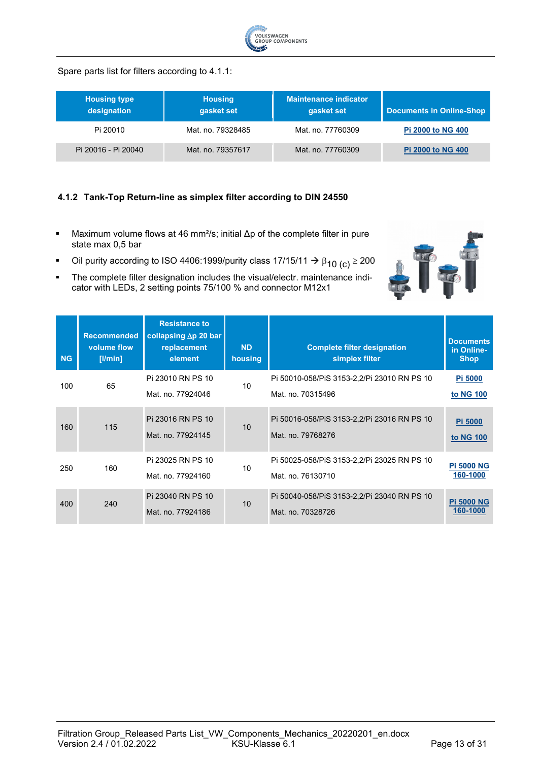

#### Spare parts list for filters according to 4.1.1:

| <b>Housing type</b><br>designation | <b>Housing</b><br>gasket set | Maintenance indicator<br>gasket set | <b>Documents in Online-Shop</b> |
|------------------------------------|------------------------------|-------------------------------------|---------------------------------|
| Pi 20010                           | Mat. no. 79328485            | Mat. no. 77760309                   | <b>Pi 2000 to NG 400</b>        |
| Pi 20016 - Pi 20040                | Mat. no. 79357617            | Mat. no. 77760309                   | <b>Pi 2000 to NG 400</b>        |

#### <span id="page-12-0"></span>**4.1.2 Tank-Top Return-line as simplex filter according to DIN 24550**

- Maximum volume flows at 46 mm<sup>2</sup>/s; initial  $\Delta p$  of the complete filter in pure state max 0,5 bar
- Oil purity according to ISO 4406:1999/purity class 17/15/11  $\rightarrow \beta_{10}$  (c)  $\geq 200$



| <b>NG</b> | <b>Recommended</b><br>volume flow<br>[ l min] | <b>Resistance to</b><br>collapsing $\Delta p$ 20 bar<br>replacement<br>element | <b>ND</b><br>housing | <b>Complete filter designation</b><br>simplex filter              | <b>Documents</b><br>in Online-<br><b>Shop</b> |
|-----------|-----------------------------------------------|--------------------------------------------------------------------------------|----------------------|-------------------------------------------------------------------|-----------------------------------------------|
| 100       | 65                                            | Pi 23010 RN PS 10<br>Mat. no. 77924046                                         | 10                   | Pi 50010-058/PiS 3153-2, 2/Pi 23010 RN PS 10<br>Mat. no. 70315496 | <b>Pi 5000</b><br>to NG 100                   |
| 160       | 115                                           | Pi 23016 RN PS 10<br>Mat. no. 77924145                                         | 10                   | Pi 50016-058/PiS 3153-2, 2/Pi 23016 RN PS 10<br>Mat. no. 79768276 | Pi 5000<br>to NG 100                          |
| 250       | 160                                           | Pi 23025 RN PS 10<br>Mat. no. 77924160                                         | 10                   | Pi 50025-058/PiS 3153-2, 2/Pi 23025 RN PS 10<br>Mat. no. 76130710 | <b>Pi 5000 NG</b><br>160-1000                 |
| 400       | 240                                           | Pi 23040 RN PS 10<br>Mat. no. 77924186                                         | 10                   | Pi 50040-058/PiS 3153-2, 2/Pi 23040 RN PS 10<br>Mat. no. 70328726 | <b>Pi 5000 NG</b><br>160-1000                 |

**ATE**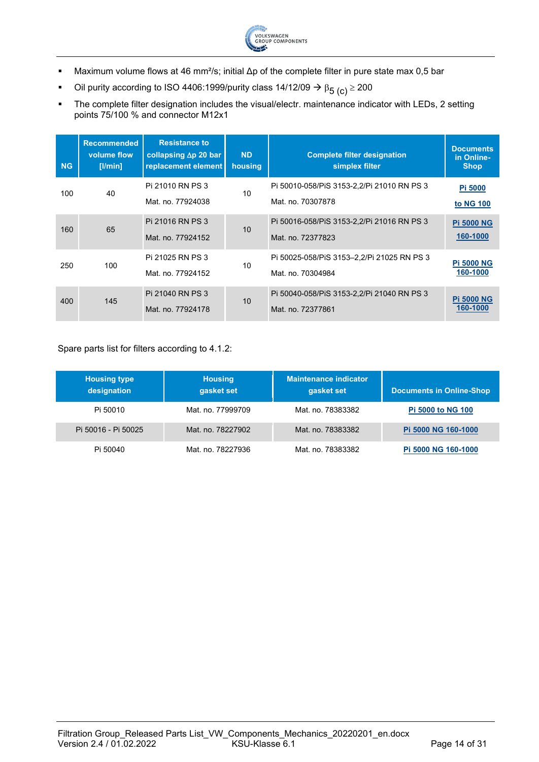

- Maximum volume flows at 46 mm²/s; initial Δp of the complete filter in pure state max 0,5 bar
- Oil purity according to ISO 4406:1999/purity class 14/12/09  $\rightarrow \beta_{5\ (c)} \ge 200$
- The complete filter designation includes the visual/electr. maintenance indicator with LEDs, 2 setting points 75/100 % and connector M12x1

| <b>NG</b> | <b>Recommended</b><br>volume flow<br>[I/min] | <b>Resistance to</b><br>collapsing $\Delta p$ 20 bar<br>replacement element | <b>ND</b><br>housing | <b>Complete filter designation</b><br>simplex filter             | <b>Documents</b><br>in Online-<br>Shop, |
|-----------|----------------------------------------------|-----------------------------------------------------------------------------|----------------------|------------------------------------------------------------------|-----------------------------------------|
| 100       | 40                                           | Pi 21010 RN PS 3<br>Mat. no. 77924038                                       | 10                   | Pi 50010-058/PiS 3153-2, 2/Pi 21010 RN PS 3<br>Mat. no. 70307878 | Pi 5000<br>to NG 100                    |
| 160       | 65                                           | Pi 21016 RN PS 3<br>Mat. no. 77924152                                       | 10                   | Pi 50016-058/PiS 3153-2, 2/Pi 21016 RN PS 3<br>Mat. no. 72377823 | <b>Pi 5000 NG</b><br>160-1000           |
| 250       | 100                                          | Pi 21025 RN PS 3<br>Mat. no. 77924152                                       | 10                   | Pi 50025-058/PiS 3153-2,2/Pi 21025 RN PS 3<br>Mat. no. 70304984  | <b>Pi 5000 NG</b><br>160-1000           |
| 400       | 145                                          | Pi 21040 RN PS 3<br>Mat. no. 77924178                                       | 10                   | Pi 50040-058/PiS 3153-2,2/Pi 21040 RN PS 3<br>Mat. no. 72377861  | <b>Pi 5000 NG</b><br>160-1000           |

#### Spare parts list for filters according to 4.1.2:

| <b>Housing type</b><br>designation | <b>Housing</b><br>gasket set | Maintenance indicator<br>gasket set | <b>Documents in Online-Shop</b> |
|------------------------------------|------------------------------|-------------------------------------|---------------------------------|
| Pi 50010                           | Mat. no. 77999709            | Mat. no. 78383382                   | <b>Pi 5000 to NG 100</b>        |
| Pi 50016 - Pi 50025                | Mat. no. 78227902            | Mat. no. 78383382                   | Pi 5000 NG 160-1000             |
| Pi 50040                           | Mat. no. 78227936            | Mat. no. 78383382                   | Pi 5000 NG 160-1000             |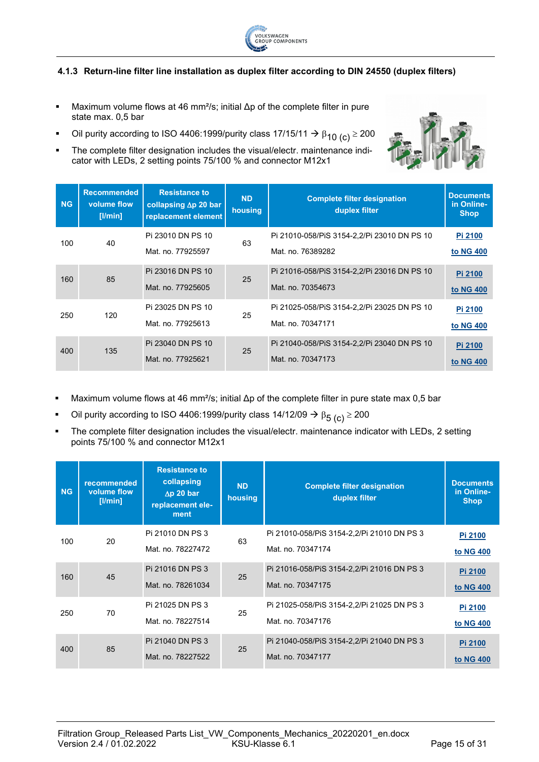

#### <span id="page-14-0"></span>**4.1.3 Return-line filter line installation as duplex filter according to DIN 24550 (duplex filters)**

- Maximum volume flows at 46 mm²/s; initial Δp of the complete filter in pure state max. 0,5 bar
- Oil purity according to ISO 4406:1999/purity class 17/15/11  $\rightarrow \beta_{10}$  (c)  $\geq$  200
- The complete filter designation includes the visual/electr. maintenance indicator with LEDs, 2 setting points 75/100 % and connector M12x1

| <b>NG</b> | <b>Recommended</b><br>volume flow<br>[1/min] | <b>Resistance to</b><br>collapsing $\Delta p$ 20 bar<br>replacement element | <b>ND</b><br>housing | <b>Complete filter designation</b><br>duplex filter               | <b>Documents</b><br>in Online-<br><b>Shop</b> |
|-----------|----------------------------------------------|-----------------------------------------------------------------------------|----------------------|-------------------------------------------------------------------|-----------------------------------------------|
| 100       | 40                                           | Pi 23010 DN PS 10<br>Mat. no. 77925597                                      | 63                   | Pi 21010-058/PiS 3154-2,2/Pi 23010 DN PS 10<br>Mat. no. 76389282  | Pi 2100<br>to NG 400                          |
| 160       | 85                                           | Pi 23016 DN PS 10<br>Mat. no. 77925605                                      | 25                   | Pi 21016-058/PiS 3154-2, 2/Pi 23016 DN PS 10<br>Mat. no. 70354673 | Pi 2100<br>to NG 400                          |
| 250       | 120                                          | Pi 23025 DN PS 10<br>Mat. no. 77925613                                      | 25                   | Pi 21025-058/PiS 3154-2, 2/Pi 23025 DN PS 10<br>Mat. no. 70347171 | Pi 2100<br>to NG 400                          |
| 400       | 135                                          | Pi 23040 DN PS 10<br>Mat. no. 77925621                                      | 25                   | Pi 21040-058/PiS 3154-2, 2/Pi 23040 DN PS 10<br>Mat. no. 70347173 | Pi 2100<br>to NG 400                          |

- Maximum volume flows at 46 mm<sup>2</sup>/s; initial  $\Delta p$  of the complete filter in pure state max 0,5 bar
- Oil purity according to ISO 4406:1999/purity class 14/12/09  $\rightarrow \beta_{5 (c)} \ge 200$
- The complete filter designation includes the visual/electr. maintenance indicator with LEDs, 2 setting points 75/100 % and connector M12x1

| <b>NG</b> | recommended<br>volume flow<br>[ l min] | <b>Resistance to</b><br>collapsing<br>$\Delta p$ 20 bar<br>replacement ele-<br>ment | <b>ND</b><br>housing | <b>Complete filter designation</b><br>duplex filter | <b>Documents</b><br>in Online-<br><b>Shop</b> |
|-----------|----------------------------------------|-------------------------------------------------------------------------------------|----------------------|-----------------------------------------------------|-----------------------------------------------|
| 100       | 20                                     | Pi 21010 DN PS 3                                                                    | 63                   | Pi 21010-058/PiS 3154-2,2/Pi 21010 DN PS 3          | Pi 2100                                       |
|           |                                        | Mat. no. 78227472                                                                   |                      | Mat. no. 70347174                                   | to NG 400                                     |
| 160       | 45                                     | Pi 21016 DN PS 3                                                                    | 25                   | Pi 21016-058/PiS 3154-2, 2/Pi 21016 DN PS 3         | Pi 2100                                       |
|           |                                        | Mat. no. 78261034                                                                   |                      | Mat. no. 70347175                                   | to NG 400                                     |
| 250       | 70                                     | Pi 21025 DN PS 3                                                                    | 25                   | Pi 21025-058/PiS 3154-2, 2/Pi 21025 DN PS 3         | Pi 2100                                       |
|           |                                        | Mat. no. 78227514                                                                   |                      | Mat. no. 70347176                                   | to NG 400                                     |
| 400       | 85                                     | Pi 21040 DN PS 3                                                                    | 25                   | Pi 21040-058/PiS 3154-2,2/Pi 21040 DN PS 3          | Pi 2100                                       |
|           |                                        | Mat. no. 78227522                                                                   |                      | Mat. no. 70347177                                   | to NG 400                                     |

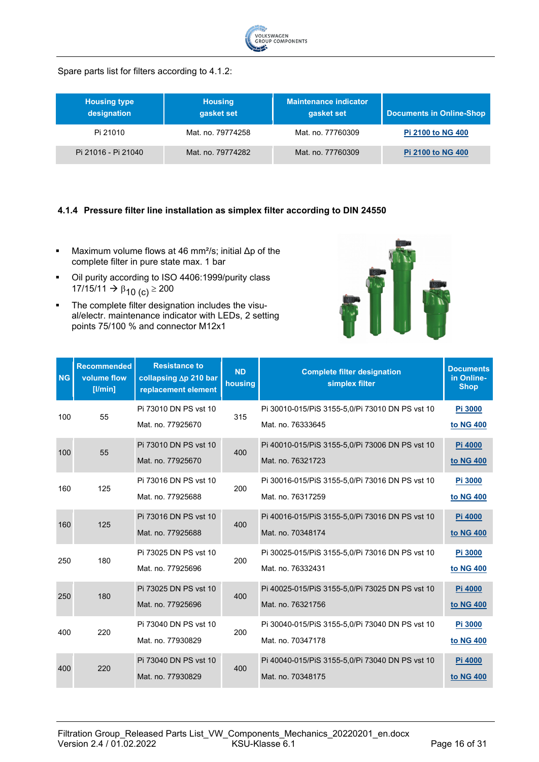

Spare parts list for filters according to 4.1.2:

| <b>Housing type</b><br>designation | <b>Housing</b><br>gasket set | Maintenance indicator<br>gasket set | <b>Documents in Online-Shop</b> |
|------------------------------------|------------------------------|-------------------------------------|---------------------------------|
| Pi 21010                           | Mat. no. 79774258            | Mat. no. 77760309                   | <b>Pi 2100 to NG 400</b>        |
| Pi 21016 - Pi 21040                | Mat. no. 79774282            | Mat. no. 77760309                   | <b>Pi 2100 to NG 400</b>        |

#### <span id="page-15-0"></span>**4.1.4 Pressure filter line installation as simplex filter according to DIN 24550**

- Maximum volume flows at 46 mm<sup>2</sup>/s; initial  $\Delta p$  of the complete filter in pure state max. 1 bar
- Oil purity according to ISO 4406:1999/purity class 17/15/11 →  $\beta_{10}$  (c) ≥ 200
- **The complete filter designation includes the visu**al/electr. maintenance indicator with LEDs, 2 setting points 75/100 % and connector M12x1



| <b>NG</b> | <b>Recommended</b><br>volume flow<br>[ l/min] | <b>Resistance to</b><br>collapsing ∆p 210 bar<br>replacement element | <b>ND</b><br>housing | <b>Complete filter designation</b><br>simplex filter                 | <b>Documents</b><br>in Online-<br><b>Shop</b> |
|-----------|-----------------------------------------------|----------------------------------------------------------------------|----------------------|----------------------------------------------------------------------|-----------------------------------------------|
| 100       | 55                                            | Pi 73010 DN PS vst 10<br>Mat. no. 77925670                           | 315                  | Pi 30010-015/PiS 3155-5,0/Pi 73010 DN PS vst 10<br>Mat. no. 76333645 | Pi 3000<br>to NG 400                          |
| 100       | 55                                            | Pi 73010 DN PS vst 10<br>Mat. no. 77925670                           | 400                  | Pi 40010-015/PiS 3155-5,0/Pi 73006 DN PS vst 10<br>Mat. no. 76321723 | Pi 4000<br>to NG 400                          |
| 160       | 125                                           | Pi 73016 DN PS vst 10<br>Mat. no. 77925688                           | 200                  | Pi 30016-015/PiS 3155-5,0/Pi 73016 DN PS vst 10<br>Mat. no. 76317259 | Pi 3000<br>to NG 400                          |
| 160       | 125                                           | Pi 73016 DN PS vst 10<br>Mat. no. 77925688                           | 400                  | Pi 40016-015/PiS 3155-5,0/Pi 73016 DN PS vst 10<br>Mat. no. 70348174 | Pi 4000<br>to NG 400                          |
| 250       | 180                                           | Pi 73025 DN PS vst 10<br>Mat. no. 77925696                           | 200                  | Pi 30025-015/PiS 3155-5,0/Pi 73016 DN PS vst 10<br>Mat. no. 76332431 | Pi 3000<br>to NG 400                          |
| 250       | 180                                           | Pi 73025 DN PS vst 10<br>Mat. no. 77925696                           | 400                  | Pi 40025-015/PiS 3155-5,0/Pi 73025 DN PS vst 10<br>Mat. no. 76321756 | Pi 4000<br>to NG 400                          |
| 400       | 220                                           | Pi 73040 DN PS vst 10<br>Mat. no. 77930829                           | 200                  | Pi 30040-015/PiS 3155-5,0/Pi 73040 DN PS vst 10<br>Mat. no. 70347178 | Pi 3000<br>to NG 400                          |
| 400       | 220                                           | Pi 73040 DN PS vst 10<br>Mat. no. 77930829                           | 400                  | Pi 40040-015/PiS 3155-5,0/Pi 73040 DN PS vst 10<br>Mat. no. 70348175 | Pi 4000<br>to NG 400                          |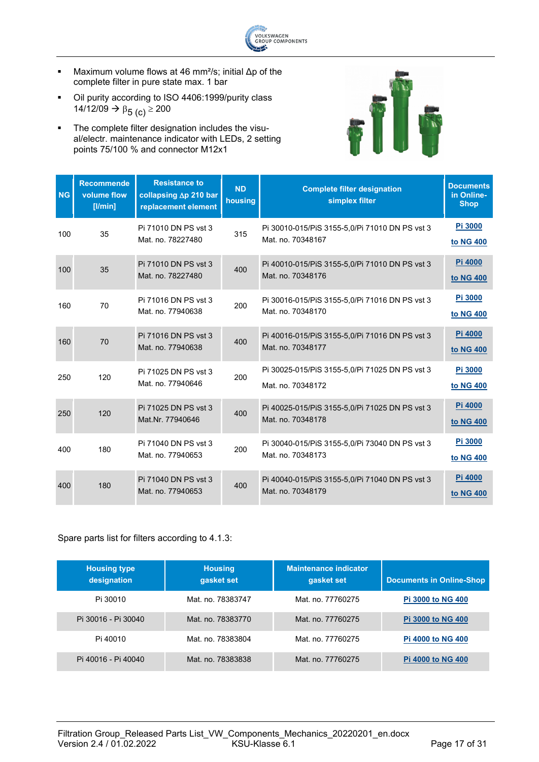

- Maximum volume flows at 46 mm²/s; initial Δp of the complete filter in pure state max. 1 bar
- Oil purity according to ISO 4406:1999/purity class 14/12/09 →  $\beta_{5}$  (c)  $\geq$  200
- The complete filter designation includes the visual/electr. maintenance indicator with LEDs, 2 setting points 75/100 % and connector M12x1



| <b>NG</b> | <b>Recommende</b><br>volume flow<br>[1/min] | <b>Resistance to</b><br>collapsing ∆p 210 bar<br>replacement element | <b>ND</b><br>housing | <b>Complete filter designation</b><br>simplex filter                | <b>Documents</b><br>in Online-<br><b>Shop</b> |
|-----------|---------------------------------------------|----------------------------------------------------------------------|----------------------|---------------------------------------------------------------------|-----------------------------------------------|
| 100       | 35                                          | Pi 71010 DN PS vst 3<br>Mat. no. 78227480                            | 315                  | Pi 30010-015/PiS 3155-5,0/Pi 71010 DN PS vst 3<br>Mat. no. 70348167 | Pi 3000<br>to NG 400                          |
| 100       | 35                                          | Pi 71010 DN PS vst 3<br>Mat. no. 78227480                            | 400                  | Pi 40010-015/PiS 3155-5,0/Pi 71010 DN PS vst 3<br>Mat. no. 70348176 | Pi 4000<br>to NG 400                          |
| 160       | 70                                          | Pi 71016 DN PS vst 3<br>Mat. no. 77940638                            | 200                  | Pi 30016-015/PiS 3155-5,0/Pi 71016 DN PS vst 3<br>Mat. no. 70348170 | Pi 3000<br>to NG 400                          |
| 160       | 70                                          | Pi 71016 DN PS vst 3<br>Mat. no. 77940638                            | 400                  | Pi 40016-015/PiS 3155-5,0/Pi 71016 DN PS vst 3<br>Mat. no. 70348177 | Pi 4000<br>to NG 400                          |
| 250       | 120                                         | Pi 71025 DN PS vst 3<br>Mat. no. 77940646                            | 200                  | Pi 30025-015/PiS 3155-5,0/Pi 71025 DN PS vst 3<br>Mat. no. 70348172 | Pi 3000<br>to NG 400                          |
| 250       | 120                                         | Pi 71025 DN PS vst 3<br>Mat.Nr. 77940646                             | 400                  | Pi 40025-015/PiS 3155-5,0/Pi 71025 DN PS vst 3<br>Mat. no. 70348178 | Pi 4000<br>to NG 400                          |
| 400       | 180                                         | Pi 71040 DN PS vst 3<br>Mat. no. 77940653                            | 200                  | Pi 30040-015/PiS 3155-5,0/Pi 73040 DN PS vst 3<br>Mat. no. 70348173 | Pi 3000<br>to NG 400                          |
| 400       | 180                                         | Pi 71040 DN PS vst 3<br>Mat. no. 77940653                            | 400                  | Pi 40040-015/PiS 3155-5,0/Pi 71040 DN PS vst 3<br>Mat. no. 70348179 | Pi 4000<br>to NG 400                          |

#### Spare parts list for filters according to 4.1.3:

| <b>Housing type</b><br>designation | <b>Housing</b><br>gasket set | <b>Maintenance indicator</b><br>gasket set | <b>Documents in Online-Shop</b> |
|------------------------------------|------------------------------|--------------------------------------------|---------------------------------|
| Pi 30010                           | Mat. no. 78383747            | Mat. no. 77760275                          | <b>Pi 3000 to NG 400</b>        |
| Pi 30016 - Pi 30040                | Mat. no. 78383770            | Mat. no. 77760275                          | <b>Pi 3000 to NG 400</b>        |
| Pi 40010                           | Mat. no. 78383804            | Mat. no. 77760275                          | <b>Pi 4000 to NG 400</b>        |
| Pi 40016 - Pi 40040                | Mat. no. 78383838            | Mat. no. 77760275                          | <b>Pi 4000 to NG 400</b>        |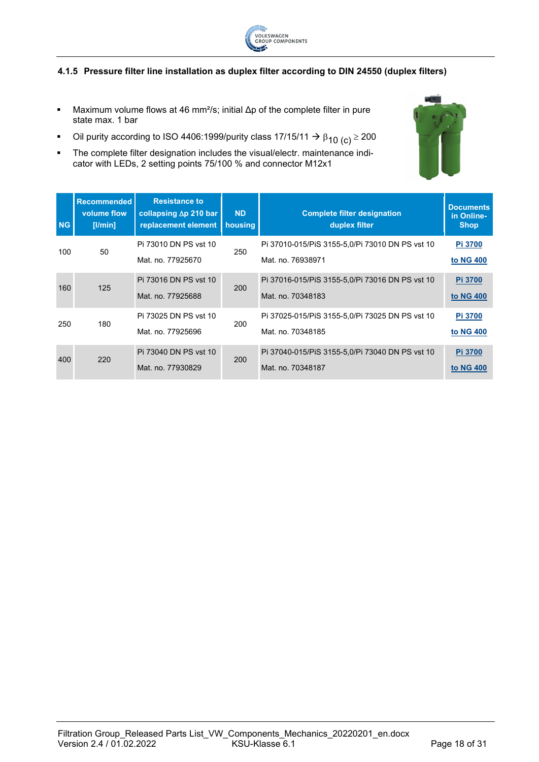

#### <span id="page-17-0"></span>**4.1.5 Pressure filter line installation as duplex filter according to DIN 24550 (duplex filters)**

- Maximum volume flows at 46 mm²/s; initial Δp of the complete filter in pure state max. 1 bar
- Oil purity according to ISO 4406:1999/purity class 17/15/11  $\rightarrow$  β<sub>10 (c)</sub> ≥ 200
- The complete filter designation includes the visual/electr. maintenance indicator with LEDs, 2 setting points 75/100 % and connector M12x1

| <b>NG</b> | <b>Recommended</b><br>volume flow<br>[1/min] | <b>Resistance to</b><br>collapsing $\Delta p$ 210 bar<br>replacement element | <b>ND</b><br>housing | <b>Complete filter designation</b><br>duplex filter                  | <b>Documents</b><br>in Online-<br><b>Shop</b> |
|-----------|----------------------------------------------|------------------------------------------------------------------------------|----------------------|----------------------------------------------------------------------|-----------------------------------------------|
| 100       | 50                                           | Pi 73010 DN PS vst 10<br>Mat. no. 77925670                                   | 250                  | Pi 37010-015/PiS 3155-5,0/Pi 73010 DN PS vst 10<br>Mat. no. 76938971 | Pi 3700<br>to NG 400                          |
| 160       | 125                                          | Pi 73016 DN PS vst 10<br>Mat. no. 77925688                                   | 200                  | Pi 37016-015/PiS 3155-5,0/Pi 73016 DN PS vst 10<br>Mat. no. 70348183 | Pi 3700<br>to NG 400                          |
| 250       | 180                                          | Pi 73025 DN PS vst 10<br>Mat. no. 77925696                                   | 200                  | Pi 37025-015/PiS 3155-5,0/Pi 73025 DN PS vst 10<br>Mat. no. 70348185 | <b>Pi 3700</b><br>to NG 400                   |
| 400       | 220                                          | Pi 73040 DN PS vst 10<br>Mat. no. 77930829                                   | <b>200</b>           | Pi 37040-015/PiS 3155-5,0/Pi 73040 DN PS vst 10<br>Mat. no. 70348187 | Pi 3700<br>to NG 400                          |

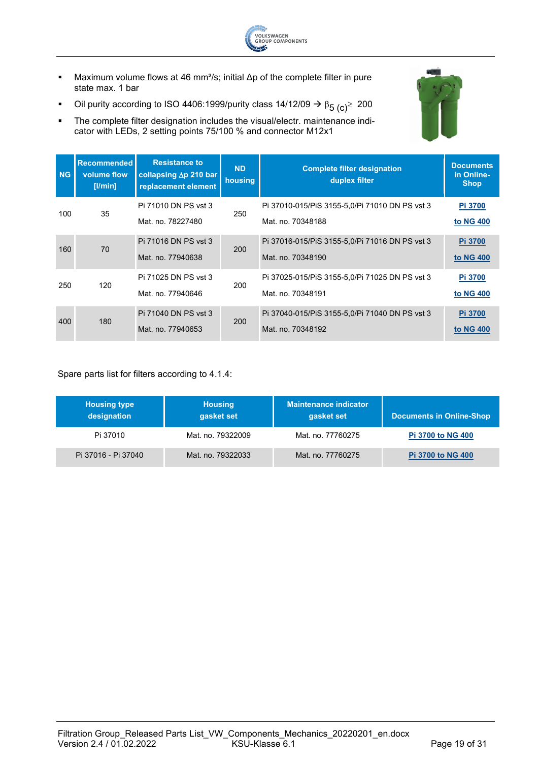

- Maximum volume flows at 46 mm²/s; initial Δp of the complete filter in pure state max. 1 bar
- Oil purity according to ISO 4406:1999/purity class 14/12/09  $\rightarrow \beta_5$  (c)<sup>2</sup> 200
- The complete filter designation includes the visual/electr. maintenance indicator with LEDs, 2 setting points 75/100 % and connector M12x1



| <b>NG</b> | <b>Recommended</b><br>volume flow<br>$[$ I/min $]$ | <b>Resistance to</b><br>collapsing $\Delta p$ 210 bar<br>replacement element | <b>ND</b><br>housing | <b>Complete filter designation</b><br>duplex filter                 | <b>Documents</b><br>in Online-<br><b>Shop</b> |
|-----------|----------------------------------------------------|------------------------------------------------------------------------------|----------------------|---------------------------------------------------------------------|-----------------------------------------------|
| 100       | 35                                                 | Pi 71010 DN PS vst 3<br>Mat. no. 78227480                                    | 250                  | Pi 37010-015/PiS 3155-5,0/Pi 71010 DN PS vst 3<br>Mat. no. 70348188 | Pi 3700<br>to NG 400                          |
| 160       | 70                                                 | Pi 71016 DN PS vst 3<br>Mat. no. 77940638                                    | 200                  | Pi 37016-015/PiS 3155-5,0/Pi 71016 DN PS vst 3<br>Mat. no. 70348190 | Pi 3700<br>to NG 400                          |
| 250       | 120                                                | Pi 71025 DN PS vst 3<br>Mat. no. 77940646                                    | 200                  | Pi 37025-015/PiS 3155-5,0/Pi 71025 DN PS vst 3<br>Mat. no. 70348191 | Pi 3700<br>to NG 400                          |
| 400       | 180                                                | Pi 71040 DN PS vst 3<br>Mat. no. 77940653                                    | 200                  | Pi 37040-015/PiS 3155-5,0/Pi 71040 DN PS vst 3<br>Mat. no. 70348192 | Pi 3700<br>to NG 400                          |

Spare parts list for filters according to 4.1.4:

| <b>Housing type</b><br>designation | <b>Housing</b><br>gasket set | <b>Maintenance indicator</b><br>gasket set | <b>Documents in Online-Shop</b> |
|------------------------------------|------------------------------|--------------------------------------------|---------------------------------|
| Pi 37010                           | Mat. no. 79322009            | Mat. no. 77760275                          | <b>Pi 3700 to NG 400</b>        |
| Pi 37016 - Pi 37040                | Mat. no. 79322033            | Mat. no. 77760275                          | <b>Pi 3700 to NG 400</b>        |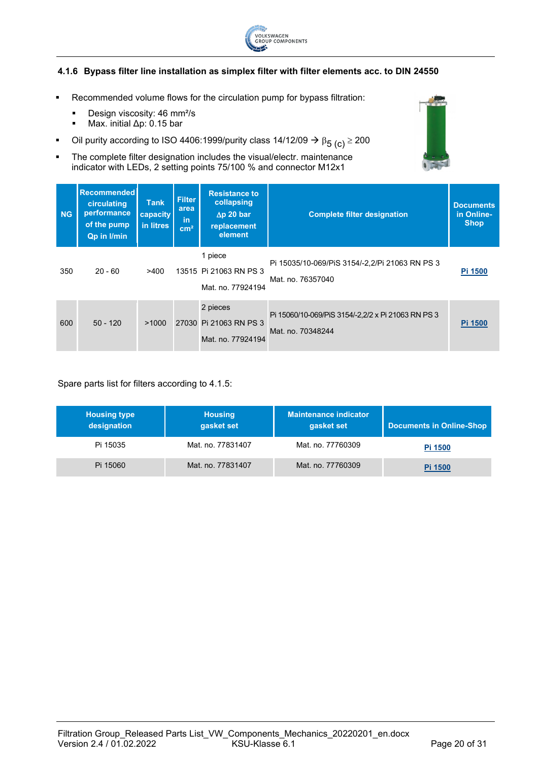

#### <span id="page-19-0"></span>**4.1.6 Bypass filter line installation as simplex filter with filter elements acc. to DIN 24550**

- Recommended volume flows for the circulation pump for bypass filtration:
	- **Design viscosity: 46 mm<sup>2</sup>/s**
	- Max. initial Δp: 0.15 bar
- Oil purity according to ISO 4406:1999/purity class 14/12/09  $\rightarrow \beta_{5\ (c)} \ge 200$
- **The complete filter designation includes the visual/electr. maintenance** indicator with LEDs, 2 setting points 75/100 % and connector M12x1

| <b>NG</b> | <b>Recommended</b><br>circulating<br>performance<br>of the pump<br><b>Qp in I/min</b> | <b>Tank</b><br>capacity<br>in litres | <b>Filter</b><br>area<br>in.<br>cm <sup>2</sup> | <b>Resistance to</b><br>collapsing<br>$\Delta p$ 20 bar<br>replacement<br>element | <b>Complete filter designation</b>                                      | <b>Documents</b><br>in Online-<br><b>Shop</b> |
|-----------|---------------------------------------------------------------------------------------|--------------------------------------|-------------------------------------------------|-----------------------------------------------------------------------------------|-------------------------------------------------------------------------|-----------------------------------------------|
| 350       | $20 - 60$                                                                             | >400                                 |                                                 | 1 piece<br>13515 Pi 21063 RN PS 3<br>Mat. no. 77924194                            | Pi 15035/10-069/PiS 3154/-2,2/Pi 21063 RN PS 3<br>Mat. no. 76357040     | Pi 1500                                       |
| 600       | $50 - 120$                                                                            | >1000                                |                                                 | 2 pieces<br>27030 Pi 21063 RN PS 3<br>Mat. no. 77924194                           | Pi 15060/10-069/PiS 3154/-2,2/2 x Pi 21063 RN PS 3<br>Mat. no. 70348244 | Pi 1500                                       |

#### Spare parts list for filters according to 4.1.5:

| <b>Housing type</b><br>designation | <b>Housing</b><br>gasket set | <b>Maintenance indicator</b><br>gasket set | <b>Documents in Online-Shop</b> |
|------------------------------------|------------------------------|--------------------------------------------|---------------------------------|
| Pi 15035                           | Mat. no. 77831407            | Mat. no. 77760309                          | Pi 1500                         |
| Pi 15060                           | Mat. no. 77831407            | Mat. no. 77760309                          | Pi 1500                         |

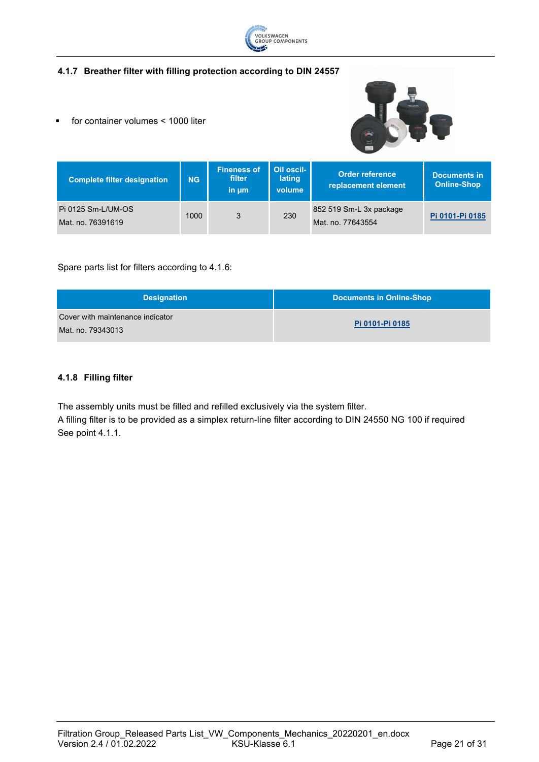

#### <span id="page-20-0"></span>**4.1.7 Breather filter with filling protection according to DIN 24557**

for container volumes < 1000 liter



| <b>Complete filter designation</b>      | <b>NG</b> | <b>Fineness of</b><br>filter<br>in um | Oil oscil-<br>lating<br>volume | <b>Order reference</b><br>replacement element | Documents in<br><b>Online-Shop</b> |
|-----------------------------------------|-----------|---------------------------------------|--------------------------------|-----------------------------------------------|------------------------------------|
| Pi 0125 Sm-L/UM-OS<br>Mat. no. 76391619 | 1000      | 3                                     | 230                            | 852 519 Sm-L 3x package<br>Mat. no. 77643554  | Pi 0101-Pi 0185                    |

#### Spare parts list for filters according to 4.1.6:

| <b>Designation</b>                                    | <b>Documents in Online-Shop</b> |
|-------------------------------------------------------|---------------------------------|
| Cover with maintenance indicator<br>Mat. no. 79343013 | Pi 0101-Pi 0185                 |

#### <span id="page-20-1"></span>**4.1.8 Filling filter**

The assembly units must be filled and refilled exclusively via the system filter.

A filling filter is to be provided as a simplex return-line filter according to DIN 24550 NG 100 if required See point 4.1.1.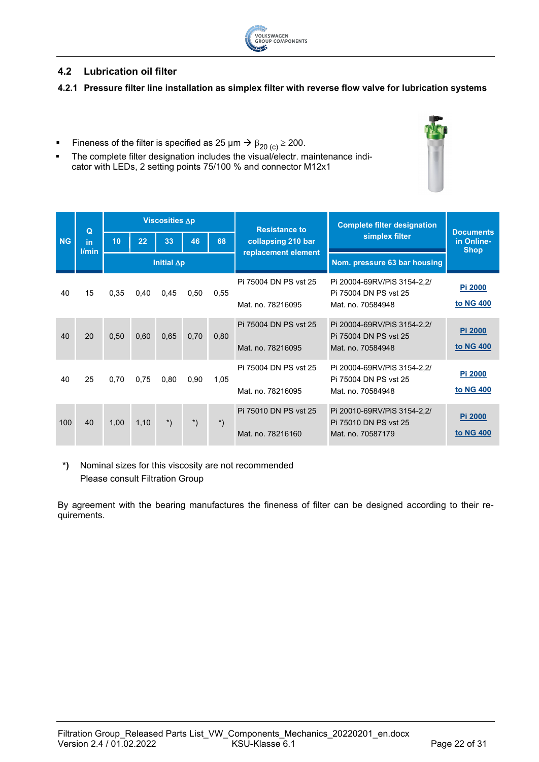

# <span id="page-21-0"></span>**4.2 Lubrication oil filter**

#### <span id="page-21-1"></span>**4.2.1 Pressure filter line installation as simplex filter with reverse flow valve for lubrication systems**

- Fineness of the filter is specified as 25 μm  $\rightarrow$  β<sub>20 (c)</sub> ≥ 200.
- **The complete filter designation includes the visual/electr. maintenance indi**cator with LEDs, 2 setting points 75/100 % and connector M12x1

|           | $\Omega$    |      |      | <b>Viscosities ∆p</b> |                        |                      | <b>Resistance to</b>  | <b>Complete filter designation</b>                   |                                               |
|-----------|-------------|------|------|-----------------------|------------------------|----------------------|-----------------------|------------------------------------------------------|-----------------------------------------------|
| <b>NG</b> | in<br>l/min | 10   | 22   | 33                    | 46                     | 68                   | collapsing 210 bar    | simplex filter                                       | <b>Documents</b><br>in Online-<br><b>Shop</b> |
|           |             |      |      | Initial $\Delta p$    |                        |                      | replacement element   | Nom. pressure 63 bar housing                         |                                               |
|           |             |      |      |                       |                        |                      | Pi 75004 DN PS vst 25 | Pi 20004-69RV/PiS 3154-2,2/<br>Pi 75004 DN PS vst 25 | Pi 2000                                       |
| 40        | 15          | 0.35 | 0,40 | 0.45                  | 0,50                   | 0.55                 | Mat. no. 78216095     | Mat. no. 70584948                                    | to NG 400                                     |
| 40        | 20          | 0.50 | 0.60 | 0.65                  | 0,70                   | 0,80                 | Pi 75004 DN PS vst 25 | Pi 20004-69RV/PiS 3154-2,2/<br>Pi 75004 DN PS vst 25 | Pi 2000                                       |
|           |             |      |      |                       |                        |                      | Mat. no. 78216095     | Mat. no. 70584948                                    | to NG 400                                     |
| 40        | 25          | 0,70 | 0,75 | 0.80                  | 0.90                   | 1,05                 | Pi 75004 DN PS vst 25 | Pi 20004-69RV/PiS 3154-2,2/<br>Pi 75004 DN PS vst 25 | Pi 2000                                       |
|           |             |      |      |                       |                        |                      | Mat. no. 78216095     | Mat. no. 70584948                                    | to NG 400                                     |
| 100       | 40          | 1,00 | 1,10 | $\boldsymbol{\cdot}$  | $\boldsymbol{\dot{ }}$ | $\boldsymbol{\cdot}$ | Pi 75010 DN PS vst 25 | Pi 20010-69RV/PiS 3154-2,2/<br>Pi 75010 DN PS vst 25 | Pi 2000                                       |
|           |             |      |      |                       |                        |                      | Mat. no. 78216160     | Mat. no. 70587179                                    | to NG 400                                     |

**\*)** Nominal sizes for this viscosity are not recommended Please consult Filtration Group

By agreement with the bearing manufactures the fineness of filter can be designed according to their requirements.



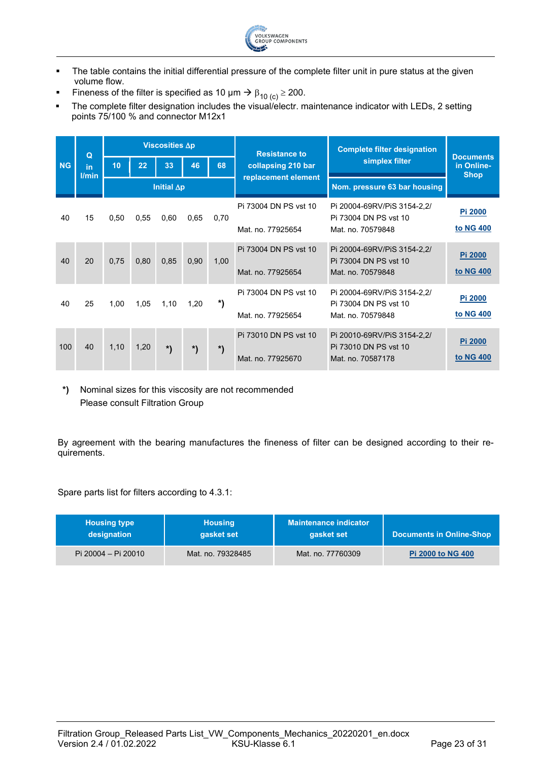

- The table contains the initial differential pressure of the complete filter unit in pure status at the given volume flow.
- Fineness of the filter is specified as 10  $\mu$ m  $\rightarrow$   $\beta_{10}$  (c)  $\geq$  200.
- The complete filter designation includes the visual/electr. maintenance indicator with LEDs, 2 setting points 75/100 % and connector M12x1

|           | $\Omega$    |      |      | Viscosities Ap     |      |      | <b>Resistance to</b>                 | <b>Complete filter designation</b>                   |                                               |
|-----------|-------------|------|------|--------------------|------|------|--------------------------------------|------------------------------------------------------|-----------------------------------------------|
| <b>NG</b> | in<br>l/min | 10   | 22   | 33                 | 46   | 68   | simplex filter<br>collapsing 210 bar |                                                      | <b>Documents</b><br>in Online-<br><b>Shop</b> |
|           |             |      |      | Initial $\Delta p$ |      |      | replacement element                  | Nom. pressure 63 bar housing                         |                                               |
| 40        | 15          | 0,50 | 0.55 | 0.60               | 0.65 | 0,70 | Pi 73004 DN PS vst 10                | Pi 20004-69RV/PiS 3154-2,2/<br>Pi 73004 DN PS vst 10 | <b>Pi 2000</b>                                |
|           |             |      |      |                    |      |      | Mat. no. 77925654                    | Mat. no. 70579848                                    | to NG 400                                     |
| 40        | 20          | 0.75 | 0.80 | 0,85               | 0.90 | 1,00 | Pi 73004 DN PS vst 10                | Pi 20004-69RV/PiS 3154-2,2/<br>Pi 73004 DN PS vst 10 | Pi 2000                                       |
|           |             |      |      |                    |      |      | Mat. no. 77925654                    | Mat. no. 70579848                                    | to NG 400                                     |
| 40        | 25          | 1,00 | 1,05 | 1,10               | 1,20 | *)   | Pi 73004 DN PS vst 10                | Pi 20004-69RV/PiS 3154-2,2/<br>Pi 73004 DN PS vst 10 | Pi 2000                                       |
|           |             |      |      |                    |      |      | Mat. no. 77925654                    | Mat. no. 70579848                                    | to NG 400                                     |
| 100       | 40          | 1,10 | 1,20 |                    |      |      | Pi 73010 DN PS vst 10                | Pi 20010-69RV/PiS 3154-2,2/<br>Pi 73010 DN PS vst 10 | Pi 2000                                       |
|           |             |      |      | *)                 | *)   | *)   | Mat. no. 77925670                    | Mat. no. 70587178                                    | to NG 400                                     |

**\*)** Nominal sizes for this viscosity are not recommended Please consult Filtration Group

By agreement with the bearing manufactures the fineness of filter can be designed according to their requirements.

Spare parts list for filters according to 4.3.1:

| <b>Housing type</b> | <b>Housing</b>    | <b>Maintenance indicator</b> | <b>Documents in Online-Shop</b> |
|---------------------|-------------------|------------------------------|---------------------------------|
| designation         | gasket set        | gasket set                   |                                 |
| Pi 20004 - Pi 20010 | Mat. no. 79328485 | Mat. no. 77760309            | <b>Pi 2000 to NG 400</b>        |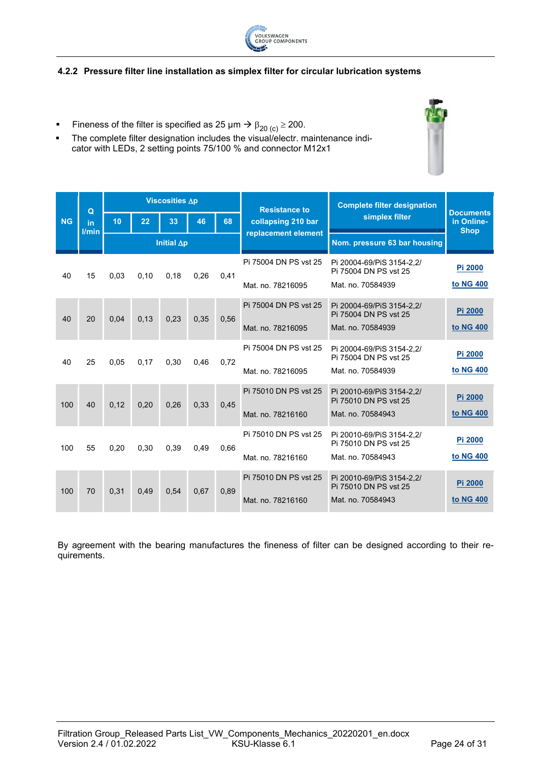

#### <span id="page-23-0"></span>**4.2.2 Pressure filter line installation as simplex filter for circular lubrication systems**

- **■** Fineness of the filter is specified as 25 μm  $\rightarrow$   $\beta_{20}$  <sub>(c)</sub>  $\geq$  200.
- The complete filter designation includes the visual/electr. maintenance indicator with LEDs, 2 setting points 75/100 % and connector M12x1

|           | $\Omega$    |      |      | <b>Viscosities ∆p</b> |      |      | <b>Resistance to</b>  | <b>Complete filter designation</b>                 |                                               |
|-----------|-------------|------|------|-----------------------|------|------|-----------------------|----------------------------------------------------|-----------------------------------------------|
| <b>NG</b> | in<br>l/min | 10   | 22   | 33                    | 46   | 68   | collapsing 210 bar    | simplex filter                                     | <b>Documents</b><br>in Online-<br><b>Shop</b> |
|           |             |      |      | Initial $\Delta p$    |      |      | replacement element   | Nom. pressure 63 bar housing                       |                                               |
| 40        | 15          | 0.03 | 0,10 | 0,18                  | 0,26 | 0,41 | Pi 75004 DN PS vst 25 | Pi 20004-69/PiS 3154-2.2/<br>Pi 75004 DN PS vst 25 | Pi 2000                                       |
|           |             |      |      |                       |      |      | Mat. no. 78216095     | Mat. no. 70584939                                  | to NG 400                                     |
| 40        | 20          | 0.04 | 0.13 | 0.23                  | 0.35 | 0,56 | Pi 75004 DN PS vst 25 | Pi 20004-69/PiS 3154-2,2/<br>Pi 75004 DN PS vst 25 | Pi 2000                                       |
|           |             |      |      |                       |      |      | Mat. no. 78216095     | Mat. no. 70584939                                  | to NG 400                                     |
| 40        | 25          | 0,05 | 0,17 | 0,30                  | 0.46 | 0.72 | Pi 75004 DN PS vst 25 | Pi 20004-69/PiS 3154-2.2/<br>Pi 75004 DN PS vst 25 | Pi 2000                                       |
|           |             |      |      |                       |      |      | Mat. no. 78216095     | Mat. no. 70584939                                  | to NG 400                                     |
| 100       | 40          | 0.12 | 0.20 | 0.26                  | 0.33 | 0.45 | Pi 75010 DN PS vst 25 | Pi 20010-69/PiS 3154-2,2/<br>Pi 75010 DN PS vst 25 | Pi 2000                                       |
|           |             |      |      |                       |      |      | Mat. no. 78216160     | Mat. no. 70584943                                  | to NG 400                                     |
| 100       | 55          | 0,20 | 0,30 | 0.39                  | 0,49 | 0.66 | Pi 75010 DN PS vst 25 | Pi 20010-69/PiS 3154-2.2/<br>Pi 75010 DN PS vst 25 | Pi 2000                                       |
|           |             |      |      |                       |      |      | Mat. no. 78216160     | Mat. no. 70584943                                  | to NG 400                                     |
| 100       | 70          | 0.31 | 0.49 | 0.54                  | 0.67 | 0.89 | Pi 75010 DN PS vst 25 | Pi 20010-69/PiS 3154-2,2/<br>Pi 75010 DN PS vst 25 | Pi 2000                                       |
|           |             |      |      |                       |      |      | Mat. no. 78216160     | Mat. no. 70584943                                  | to NG 400                                     |

By agreement with the bearing manufactures the fineness of filter can be designed according to their requirements.

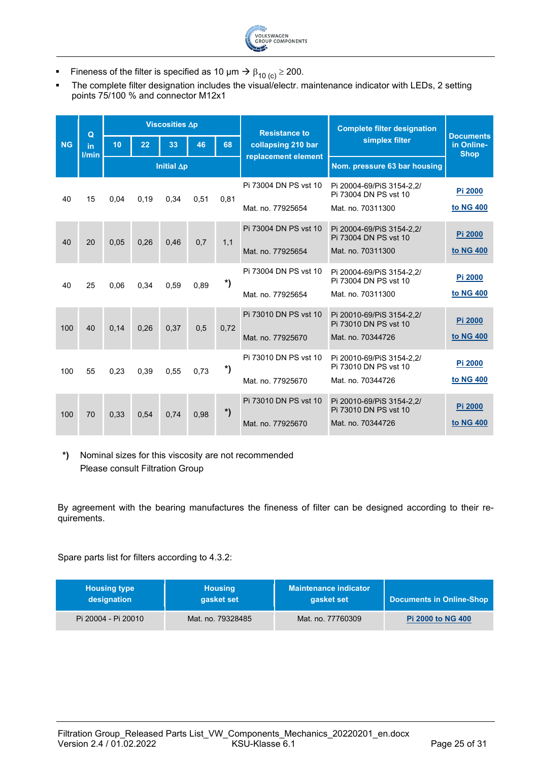

- Fineness of the filter is specified as 10  $\mu$ m  $\rightarrow$   $\beta_{10}$  (c)  $\geq$  200.
- The complete filter designation includes the visual/electr. maintenance indicator with LEDs, 2 setting points 75/100 % and connector M12x1

|           | $\Omega$    |      |      | Viscosities Ap     |      |                  | <b>Resistance to</b>  | <b>Complete filter designation</b>                 |                                               |
|-----------|-------------|------|------|--------------------|------|------------------|-----------------------|----------------------------------------------------|-----------------------------------------------|
| <b>NG</b> | in<br>l/min | 10   | 22   | 33                 | 46   | 68               | collapsing 210 bar    | simplex filter                                     | <b>Documents</b><br>in Online-<br><b>Shop</b> |
|           |             |      |      | Initial $\Delta p$ |      |                  | replacement element   | Nom. pressure 63 bar housing                       |                                               |
| 40        | 15          | 0,04 | 0,19 | 0,34               | 0,51 | 0,81             | Pi 73004 DN PS vst 10 | Pi 20004-69/PiS 3154-2.2/<br>Pi 73004 DN PS vst 10 | Pi 2000                                       |
|           |             |      |      |                    |      |                  | Mat. no. 77925654     | Mat. no. 70311300                                  | to NG 400                                     |
| 40        | 20          | 0,05 | 0,26 | 0.46               | 0.7  | 1,1              | Pi 73004 DN PS vst 10 | Pi 20004-69/PiS 3154-2.2/<br>Pi 73004 DN PS vst 10 | Pi 2000                                       |
|           |             |      |      |                    |      |                  | Mat. no. 77925654     | Mat. no. 70311300                                  | to NG 400                                     |
| 40        | 25          | 0.06 | 0.34 | 0.59               | 0.89 | *)               | Pi 73004 DN PS vst 10 | Pi 20004-69/PiS 3154-2,2/<br>Pi 73004 DN PS vst 10 | Pi 2000                                       |
|           |             |      |      |                    |      |                  | Mat. no. 77925654     | Mat. no. 70311300                                  | to NG 400                                     |
| 100       | 40          | 0,14 | 0,26 | 0.37               | 0,5  | 0,72             | Pi 73010 DN PS vst 10 | Pi 20010-69/PiS 3154-2,2/<br>Pi 73010 DN PS vst 10 | Pi 2000                                       |
|           |             |      |      |                    |      |                  | Mat. no. 77925670     | Mat. no. 70344726                                  | to NG 400                                     |
| 100       | 55          | 0.23 | 0.39 | 0.55               | 0.73 | *)               | Pi 73010 DN PS vst 10 | Pi 20010-69/PiS 3154-2.2/<br>Pi 73010 DN PS vst 10 | Pi 2000                                       |
|           |             |      |      |                    |      |                  | Mat. no. 77925670     | Mat. no. 70344726                                  | to NG 400                                     |
| 100       | 70          | 0.33 | 0.54 | 0.74               | 0.98 | $\boldsymbol{r}$ | Pi 73010 DN PS vst 10 | Pi 20010-69/PiS 3154-2,2/<br>Pi 73010 DN PS vst 10 | Pi 2000                                       |
|           |             |      |      |                    |      |                  | Mat. no. 77925670     | Mat. no. 70344726                                  | to NG 400                                     |

**\*)** Nominal sizes for this viscosity are not recommended Please consult Filtration Group

By agreement with the bearing manufactures the fineness of filter can be designed according to their requirements.

Spare parts list for filters according to 4.3.2:

| <b>Housing type</b> | <b>Housing</b>    | <b>Maintenance indicator</b> | <b>Documents in Online-Shop</b> |
|---------------------|-------------------|------------------------------|---------------------------------|
| designation         | gasket set        | gasket set                   |                                 |
| Pi 20004 - Pi 20010 | Mat. no. 79328485 | Mat. no. 77760309            | <b>Pi 2000 to NG 400</b>        |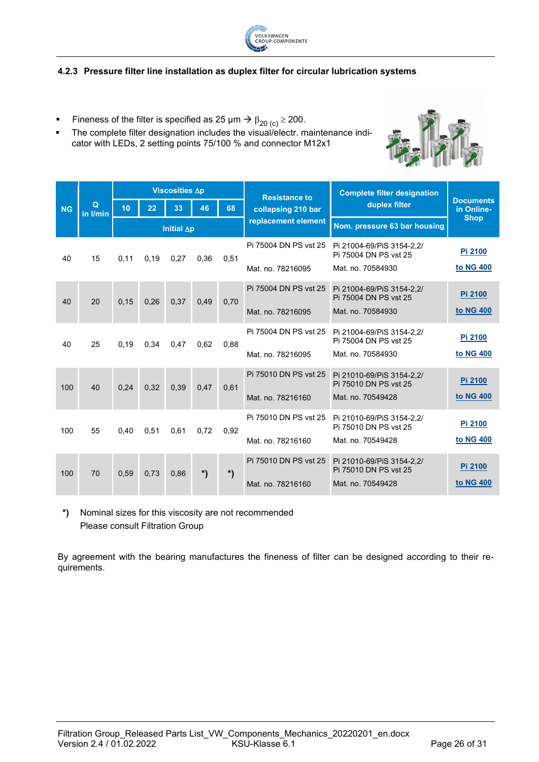

#### <span id="page-25-0"></span>**4.2.3 Pressure filter line installation as duplex filter for circular lubrication systems**

- Fineness of the filter is specified as 25  $\mu$ m  $\rightarrow$   $\beta_{20\,(c)}$   $\geq$  200.
- **The complete filter designation includes the visual/electr. maintenance indi**cator with LEDs, 2 setting points 75/100 % and connector M12x1



|           |               |      |      | Viscosities Ap     |      |        | <b>Resistance to</b>  | <b>Complete filter designation</b>                 |                                |
|-----------|---------------|------|------|--------------------|------|--------|-----------------------|----------------------------------------------------|--------------------------------|
| <b>NG</b> | Q<br>in I/min | 10   | 22   | 33                 | 46   | 68     | collapsing 210 bar    | duplex filter                                      | <b>Documents</b><br>in Online- |
|           |               |      |      | Initial $\Delta p$ |      |        | replacement element   | Nom. pressure 63 bar housing                       | <b>Shop</b>                    |
| 40        | 15            | 0.11 | 0,19 | 0,27               | 0.36 | 0.51   | Pi 75004 DN PS vst 25 | Pi 21004-69/PiS 3154-2,2/<br>Pi 75004 DN PS vst 25 | Pi 2100                        |
|           |               |      |      |                    |      |        | Mat. no. 78216095     | Mat. no. 70584930                                  | to NG 400                      |
| 40        | 20            | 0.15 | 0,26 | 0,37               | 0.49 | 0,70   | Pi 75004 DN PS vst 25 | Pi 21004-69/PiS 3154-2,2/<br>Pi 75004 DN PS vst 25 | Pi 2100                        |
|           |               |      |      |                    |      |        | Mat. no. 78216095     | Mat. no. 70584930                                  | to NG 400                      |
| 40        | 25            | 0.19 | 0.34 | 0.47               | 0.62 | 0,88   | Pi 75004 DN PS vst 25 | Pi 21004-69/PiS 3154-2.2/<br>Pi 75004 DN PS vst 25 | Pi 2100                        |
|           |               |      |      |                    |      |        | Mat. no. 78216095     | Mat. no. 70584930                                  | to NG 400                      |
| 100       | 40            | 0.24 | 0.32 | 0.39               | 0.47 | 0.61   | Pi 75010 DN PS vst 25 | Pi 21010-69/PiS 3154-2,2/<br>Pi 75010 DN PS vst 25 | Pi 2100                        |
|           |               |      |      |                    |      |        | Mat. no. 78216160     | Mat. no. 70549428                                  | to NG 400                      |
| 100       | 55            | 0,40 | 0.51 | 0,61               | 0.72 | 0.92   | Pi 75010 DN PS vst 25 | Pi 21010-69/PiS 3154-2.2/<br>Pi 75010 DN PS vst 25 | Pi 2100                        |
|           |               |      |      |                    |      |        | Mat. no. 78216160     | Mat. no. 70549428                                  | to NG 400                      |
| 100       | 70            | 0.59 | 0.73 | 0,86               | *)   | $\ast$ | Pi 75010 DN PS vst 25 | Pi 21010-69/PiS 3154-2.2/<br>Pi 75010 DN PS vst 25 | Pi 2100                        |
|           |               |      |      |                    |      |        | Mat. no. 78216160     | Mat. no. 70549428                                  | to NG 400                      |

**\*)** Nominal sizes for this viscosity are not recommended Please consult Filtration Group

By agreement with the bearing manufactures the fineness of filter can be designed according to their requirements.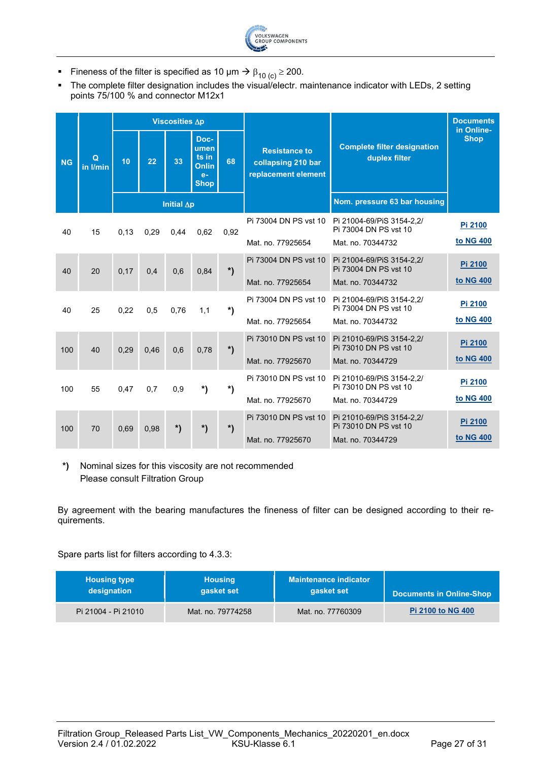

- Fineness of the filter is specified as 10 μm  $\rightarrow$  β<sub>10 (c)</sub>  $\ge$  200.<br>■ The complete filter designation includes the visual/electr. n
- The complete filter designation includes the visual/electr. maintenance indicator with LEDs, 2 setting points 75/100 % and connector M12x1

|           |               |      |      | <b>Viscosities ∆p</b> |                                                              |        |                                                                   |                                                                         | <b>Documents</b>          |
|-----------|---------------|------|------|-----------------------|--------------------------------------------------------------|--------|-------------------------------------------------------------------|-------------------------------------------------------------------------|---------------------------|
| <b>NG</b> | Q<br>in I/min | 10   | 22   | 33                    | Doc-<br>umen<br>ts in<br><b>Onlin</b><br>$e-$<br><b>Shop</b> | 68     | <b>Resistance to</b><br>collapsing 210 bar<br>replacement element | <b>Complete filter designation</b><br>duplex filter                     | in Online-<br><b>Shop</b> |
|           |               |      |      | Initial $\Delta p$    |                                                              |        |                                                                   | Nom. pressure 63 bar housing                                            |                           |
| 40        | 15            | 0.13 | 0.29 | 0.44                  | 0.62                                                         | 0.92   | Pi 73004 DN PS vst 10<br>Mat. no. 77925654                        | Pi 21004-69/PiS 3154-2.2/<br>Pi 73004 DN PS vst 10<br>Mat. no. 70344732 | Pi 2100<br>to NG 400      |
| 40        | 20            | 0,17 | 0,4  | 0,6                   | 0,84                                                         | $\ast$ | Pi 73004 DN PS vst 10<br>Mat. no. 77925654                        | Pi 21004-69/PiS 3154-2.2/<br>Pi 73004 DN PS vst 10<br>Mat. no. 70344732 | Pi 2100<br>to NG 400      |
| 40        | 25            | 0.22 | 0,5  | 0,76                  | 1,1                                                          | *)     | Pi 73004 DN PS vst 10<br>Mat. no. 77925654                        | Pi 21004-69/PiS 3154-2.2/<br>Pi 73004 DN PS vst 10<br>Mat. no. 70344732 | Pi 2100<br>to NG 400      |
| 100       | 40            | 0,29 | 0,46 | 0,6                   | 0,78                                                         | $\ast$ | Pi 73010 DN PS vst 10<br>Mat. no. 77925670                        | Pi 21010-69/PiS 3154-2,2/<br>Pi 73010 DN PS vst 10<br>Mat. no. 70344729 | Pi 2100<br>to NG 400      |
| 100       | 55            | 0,47 | 0,7  | 0,9                   | *)                                                           | *)     | Pi 73010 DN PS vst 10<br>Mat. no. 77925670                        | Pi 21010-69/PiS 3154-2.2/<br>Pi 73010 DN PS vst 10<br>Mat. no. 70344729 | Pi 2100<br>to NG 400      |
| 100       | 70            | 0,69 | 0,98 | $\ast$                | $\ast$                                                       | $\ast$ | Pi 73010 DN PS vst 10<br>Mat. no. 77925670                        | Pi 21010-69/PiS 3154-2,2/<br>Pi 73010 DN PS vst 10<br>Mat. no. 70344729 | Pi 2100<br>to NG 400      |

**\*)** Nominal sizes for this viscosity are not recommended Please consult Filtration Group

By agreement with the bearing manufactures the fineness of filter can be designed according to their requirements.

Spare parts list for filters according to 4.3.3:

| <b>Housing type</b> | <b>Housing</b>    | <b>Maintenance indicator</b> | <b>Documents in Online-Shop</b> |
|---------------------|-------------------|------------------------------|---------------------------------|
| designation         | gasket set        | gasket set                   |                                 |
| Pi 21004 - Pi 21010 | Mat. no. 79774258 | Mat. no. 77760309            | <b>Pi 2100 to NG 400</b>        |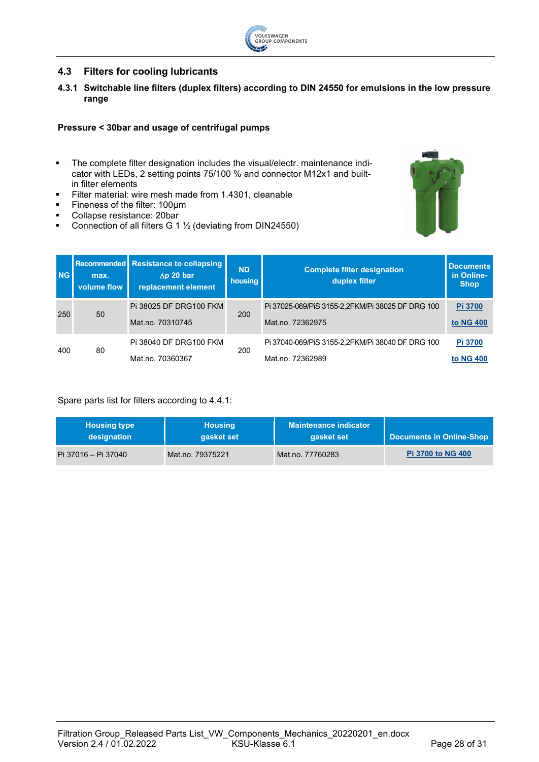

## <span id="page-27-0"></span>**4.3 Filters for cooling lubricants**

<span id="page-27-1"></span>**4.3.1 Switchable line filters (duplex filters) according to DIN 24550 for emulsions in the low pressure range**

#### **Pressure < 30bar and usage of centrifugal pumps**

- The complete filter designation includes the visual/electr. maintenance indicator with LEDs, 2 setting points 75/100 % and connector M12x1 and builtin filter elements
- Filter material: wire mesh made from 1.4301, cleanable
- Fineness of the filter: 100um
- **Collapse resistance: 20bar**
- Connection of all filters G 1 ½ (deviating from DIN24550)



| <b>NG</b> | max.<br>volume flow | Recommended Resistance to collapsing<br>$\Delta p$ 20 bar<br>replacement element | <b>ND</b><br>housing | <b>Complete filter designation</b><br>duplex filter                  | <b>Documents</b><br>in Online-<br><b>Shop</b> |
|-----------|---------------------|----------------------------------------------------------------------------------|----------------------|----------------------------------------------------------------------|-----------------------------------------------|
| 250       | 50                  | Pi 38025 DF DRG100 FKM<br>Mat.no. 70310745                                       | 200                  | Pi 37025-069/PiS 3155-2,2FKM/Pi 38025 DF DRG 100<br>Mat.no. 72362975 | Pi 3700<br>to NG 400                          |
| 400       | 80                  | Pi 38040 DF DRG100 FKM<br>Mat.no. 70360367                                       | 200                  | Pi 37040-069/PiS 3155-2,2FKM/Pi 38040 DF DRG 100<br>Mat.no. 72362989 | Pi 3700<br>to NG 400                          |

Spare parts list for filters according to 4.4.1:

| <b>Housing type</b> | <b>Housing</b>   | <b>Maintenance indicator</b> | <b>Documents in Online-Shop</b> |
|---------------------|------------------|------------------------------|---------------------------------|
| designation         | gasket set       | gasket set                   |                                 |
| Pi 37016 – Pi 37040 | Mat.no. 79375221 | Mat.no. 77760283             | <b>Pi 3700 to NG 400</b>        |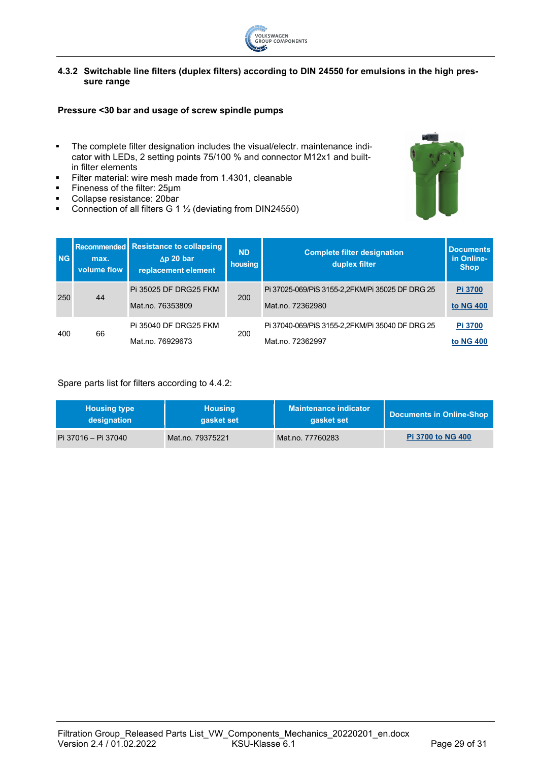

#### <span id="page-28-0"></span>**4.3.2 Switchable line filters (duplex filters) according to DIN 24550 for emulsions in the high pressure range**

#### **Pressure <30 bar and usage of screw spindle pumps**

- **The complete filter designation includes the visual/electr. maintenance indi**cator with LEDs, 2 setting points 75/100 % and connector M12x1 and builtin filter elements
- Filter material: wire mesh made from 1.4301, cleanable
- Fineness of the filter: 25µm
- Collapse resistance: 20bar
- Connection of all filters G 1 ½ (deviating from DIN24550)



| <b>NG</b> | max.<br>volume flow | Recommended Resistance to collapsing<br>$\Delta p$ 20 bar<br>replacement element | <b>ND</b><br>housing | <b>Complete filter designation</b><br>duplex filter                 | <b>Documents</b><br>in Online-<br><b>Shop</b> |
|-----------|---------------------|----------------------------------------------------------------------------------|----------------------|---------------------------------------------------------------------|-----------------------------------------------|
| 250       | 44                  | Pi 35025 DF DRG25 FKM<br>Mat.no. 76353809                                        | 200                  | Pi 37025-069/PiS 3155-2,2FKM/Pi 35025 DF DRG 25<br>Mat.no. 72362980 | Pi 3700<br>to NG 400                          |
| 400       | 66                  | Pi 35040 DF DRG25 FKM<br>Mat.no. 76929673                                        | 200                  | Pi 37040-069/PiS 3155-2,2FKM/Pi 35040 DF DRG 25<br>Mat.no. 72362997 | Pi 3700<br>to NG 400                          |

#### Spare parts list for filters according to 4.4.2:

| <b>Housing type</b> | <b>Housing</b>   | <b>Maintenance indicator</b> | Documents in Online-Shop |
|---------------------|------------------|------------------------------|--------------------------|
| designation         | gasket set       | gasket set                   |                          |
| Pi 37016 – Pi 37040 | Mat.no. 79375221 | Mat.no. 77760283             | <b>Pi 3700 to NG 400</b> |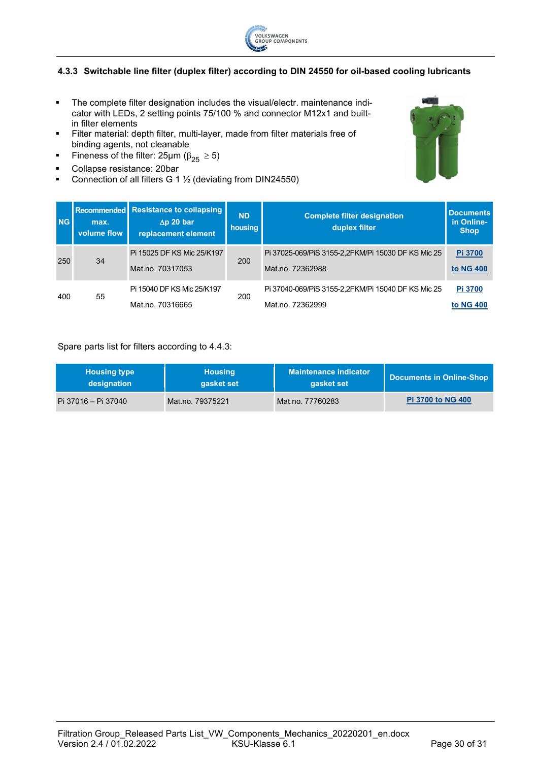

#### <span id="page-29-0"></span>**4.3.3 Switchable line filter (duplex filter) according to DIN 24550 for oil-based cooling lubricants**

- **The complete filter designation includes the visual/electr. maintenance indi**cator with LEDs, 2 setting points 75/100 % and connector M12x1 and builtin filter elements
- Filter material: depth filter, multi-layer, made from filter materials free of binding agents, not cleanable
- Fineness of the filter:  $25\mu m$  ( $\beta_{25} \ge 5$ )
- Collapse resistance: 20bar
- Connection of all filters G 1 ½ (deviating from DIN24550)



| <b>NG</b> | max.<br>volume flow | Recommended Resistance to collapsing<br>$\Delta p$ 20 bar<br>replacement element | <b>ND</b><br>housing | <b>Complete filter designation</b><br>duplex filter                    | <b>Documents</b><br>in Online-<br><b>Shop</b> |
|-----------|---------------------|----------------------------------------------------------------------------------|----------------------|------------------------------------------------------------------------|-----------------------------------------------|
| 250       | 34                  | Pi 15025 DF KS Mic 25/K197<br>Mat.no. 70317053                                   | 200                  | Pi 37025-069/PiS 3155-2,2FKM/Pi 15030 DF KS Mic 25<br>Mat.no. 72362988 | Pi 3700<br>to NG 400                          |
| 400       | 55                  | Pi 15040 DF KS Mic 25/K197<br>Mat.no. 70316665                                   | 200                  | Pi 37040-069/PiS 3155-2,2FKM/Pi 15040 DF KS Mic 25<br>Mat.no. 72362999 | Pi 3700<br>to NG 400                          |

#### Spare parts list for filters according to 4.4.3:

| <b>Housing type</b> | <b>Housing</b>   | <b>Maintenance indicator</b> | Documents in Online-Shop |
|---------------------|------------------|------------------------------|--------------------------|
| designation         | gasket set       | gasket set                   |                          |
| Pi 37016 – Pi 37040 | Mat.no. 79375221 | Mat.no. 77760283             | <b>Pi 3700 to NG 400</b> |